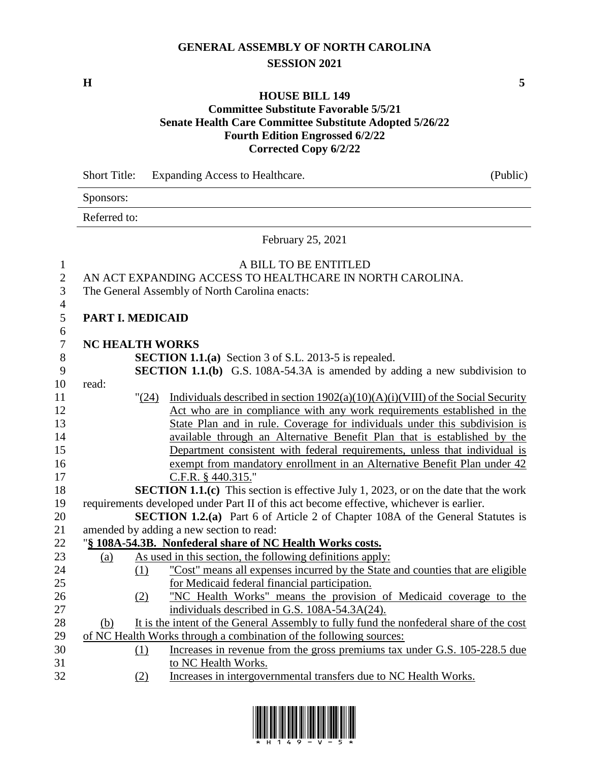# **GENERAL ASSEMBLY OF NORTH CAROLINA SESSION 2021**

**H 5**

# **HOUSE BILL 149**

### **Committee Substitute Favorable 5/5/21 Senate Health Care Committee Substitute Adopted 5/26/22 Fourth Edition Engrossed 6/2/22 Corrected Copy 6/2/22**

|                  | <b>Short Title:</b>    |          | Expanding Access to Healthcare.                                                                                        | (Public) |  |  |  |
|------------------|------------------------|----------|------------------------------------------------------------------------------------------------------------------------|----------|--|--|--|
|                  | Sponsors:              |          |                                                                                                                        |          |  |  |  |
|                  | Referred to:           |          |                                                                                                                        |          |  |  |  |
|                  |                        |          | February 25, 2021                                                                                                      |          |  |  |  |
| $\mathbf{1}$     |                        |          | A BILL TO BE ENTITLED                                                                                                  |          |  |  |  |
| $\mathbf{2}$     |                        |          | AN ACT EXPANDING ACCESS TO HEALTHCARE IN NORTH CAROLINA.                                                               |          |  |  |  |
| 3                |                        |          | The General Assembly of North Carolina enacts:                                                                         |          |  |  |  |
| $\overline{4}$   |                        |          |                                                                                                                        |          |  |  |  |
| 5                | PART I. MEDICAID       |          |                                                                                                                        |          |  |  |  |
| 6                |                        |          |                                                                                                                        |          |  |  |  |
| $\boldsymbol{7}$ | <b>NC HEALTH WORKS</b> |          |                                                                                                                        |          |  |  |  |
| $8\,$            |                        |          | <b>SECTION 1.1.(a)</b> Section 3 of S.L. 2013-5 is repealed.                                                           |          |  |  |  |
| 9                |                        |          | SECTION 1.1.(b) G.S. 108A-54.3A is amended by adding a new subdivision to                                              |          |  |  |  |
| 10               | read:                  |          |                                                                                                                        |          |  |  |  |
| 11               |                        | "(24)    | Individuals described in section $1902(a)(10)(A)(i)(VIII)$ of the Social Security                                      |          |  |  |  |
| 12               |                        |          | Act who are in compliance with any work requirements established in the                                                |          |  |  |  |
| 13               |                        |          | State Plan and in rule. Coverage for individuals under this subdivision is                                             |          |  |  |  |
| 14               |                        |          | available through an Alternative Benefit Plan that is established by the                                               |          |  |  |  |
| 15               |                        |          | Department consistent with federal requirements, unless that individual is                                             |          |  |  |  |
| 16               |                        |          | exempt from mandatory enrollment in an Alternative Benefit Plan under 42                                               |          |  |  |  |
| 17               |                        |          | C.F.R. § 440.315."                                                                                                     |          |  |  |  |
| 18               |                        |          | <b>SECTION 1.1.(c)</b> This section is effective July 1, 2023, or on the date that the work                            |          |  |  |  |
| 19               |                        |          | requirements developed under Part II of this act become effective, whichever is earlier.                               |          |  |  |  |
| 20               |                        |          | <b>SECTION 1.2.(a)</b> Part 6 of Article 2 of Chapter 108A of the General Statutes is                                  |          |  |  |  |
| 21               |                        |          | amended by adding a new section to read:                                                                               |          |  |  |  |
| 22<br>23         |                        |          | "§ 108A-54.3B. Nonfederal share of NC Health Works costs.<br>As used in this section, the following definitions apply: |          |  |  |  |
| 24               | (a)                    | (1)      | "Cost" means all expenses incurred by the State and counties that are eligible                                         |          |  |  |  |
| 25               |                        |          | for Medicaid federal financial participation.                                                                          |          |  |  |  |
| 26               |                        |          | "NC Health Works" means the provision of Medicaid coverage to the                                                      |          |  |  |  |
| 27               |                        | (2)      | individuals described in G.S. 108A-54.3A(24).                                                                          |          |  |  |  |
| 28               | (b)                    |          | It is the intent of the General Assembly to fully fund the nonfederal share of the cost                                |          |  |  |  |
| 29               |                        |          | of NC Health Works through a combination of the following sources:                                                     |          |  |  |  |
| 30               |                        | $\Omega$ | Increases in revenue from the gross premiums tax under G.S. 105-228.5 due                                              |          |  |  |  |
| 31               |                        |          | to NC Health Works.                                                                                                    |          |  |  |  |
| 32               |                        | (2)      | Increases in intergovernmental transfers due to NC Health Works.                                                       |          |  |  |  |

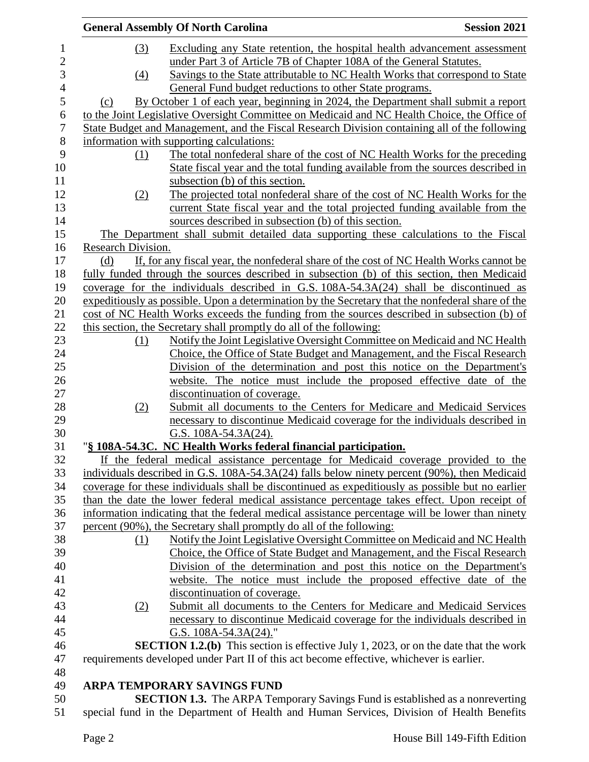|                    | <b>General Assembly Of North Carolina</b>                                                         | <b>Session 2021</b> |
|--------------------|---------------------------------------------------------------------------------------------------|---------------------|
| (3)                | Excluding any State retention, the hospital health advancement assessment                         |                     |
|                    | under Part 3 of Article 7B of Chapter 108A of the General Statutes.                               |                     |
| $\left(4\right)$   | Savings to the State attributable to NC Health Works that correspond to State                     |                     |
|                    | General Fund budget reductions to other State programs.                                           |                     |
| (c)                | By October 1 of each year, beginning in 2024, the Department shall submit a report                |                     |
|                    |                                                                                                   |                     |
|                    | to the Joint Legislative Oversight Committee on Medicaid and NC Health Choice, the Office of      |                     |
|                    | State Budget and Management, and the Fiscal Research Division containing all of the following     |                     |
|                    | information with supporting calculations:                                                         |                     |
| (1)                | The total nonfederal share of the cost of NC Health Works for the preceding                       |                     |
|                    | State fiscal year and the total funding available from the sources described in                   |                     |
|                    | subsection (b) of this section.                                                                   |                     |
| (2)                | The projected total nonfederal share of the cost of NC Health Works for the                       |                     |
|                    | current State fiscal year and the total projected funding available from the                      |                     |
|                    | sources described in subsection (b) of this section.                                              |                     |
|                    | The Department shall submit detailed data supporting these calculations to the Fiscal             |                     |
| Research Division. |                                                                                                   |                     |
| (d)                | If, for any fiscal year, the nonfederal share of the cost of NC Health Works cannot be            |                     |
|                    | fully funded through the sources described in subsection (b) of this section, then Medicaid       |                     |
|                    | coverage for the individuals described in G.S. 108A-54.3A(24) shall be discontinued as            |                     |
|                    | expeditiously as possible. Upon a determination by the Secretary that the nonfederal share of the |                     |
|                    | cost of NC Health Works exceeds the funding from the sources described in subsection (b) of       |                     |
|                    | this section, the Secretary shall promptly do all of the following:                               |                     |
| (1)                | Notify the Joint Legislative Oversight Committee on Medicaid and NC Health                        |                     |
|                    | Choice, the Office of State Budget and Management, and the Fiscal Research                        |                     |
|                    | Division of the determination and post this notice on the Department's                            |                     |
|                    | website. The notice must include the proposed effective date of the                               |                     |
|                    | discontinuation of coverage.                                                                      |                     |
| (2)                | Submit all documents to the Centers for Medicare and Medicaid Services                            |                     |
|                    | necessary to discontinue Medicaid coverage for the individuals described in                       |                     |
|                    | G.S. 108A-54.3A(24).                                                                              |                     |
|                    | "§ 108A-54.3C. NC Health Works federal financial participation.                                   |                     |
|                    | If the federal medical assistance percentage for Medicaid coverage provided to the                |                     |
|                    | individuals described in G.S. 108A-54.3A(24) falls below ninety percent (90%), then Medicaid      |                     |
|                    | coverage for these individuals shall be discontinued as expeditiously as possible but no earlier  |                     |
|                    |                                                                                                   |                     |
|                    | than the date the lower federal medical assistance percentage takes effect. Upon receipt of       |                     |
|                    | information indicating that the federal medical assistance percentage will be lower than ninety   |                     |
|                    | percent (90%), the Secretary shall promptly do all of the following:                              |                     |
| (1)                | Notify the Joint Legislative Oversight Committee on Medicaid and NC Health                        |                     |
|                    | Choice, the Office of State Budget and Management, and the Fiscal Research                        |                     |
|                    | Division of the determination and post this notice on the Department's                            |                     |
|                    | website. The notice must include the proposed effective date of the                               |                     |
|                    | discontinuation of coverage.                                                                      |                     |
| (2)                | Submit all documents to the Centers for Medicare and Medicaid Services                            |                     |
|                    | necessary to discontinue Medicaid coverage for the individuals described in                       |                     |
|                    | G.S. $108A-54.3A(24)$ ."                                                                          |                     |
|                    | <b>SECTION 1.2.(b)</b> This section is effective July 1, 2023, or on the date that the work       |                     |
|                    | requirements developed under Part II of this act become effective, whichever is earlier.          |                     |
|                    |                                                                                                   |                     |
|                    | <b>ARPA TEMPORARY SAVINGS FUND</b>                                                                |                     |
|                    | <b>SECTION 1.3.</b> The ARPA Temporary Savings Fund is established as a nonreverting              |                     |

special fund in the Department of Health and Human Services, Division of Health Benefits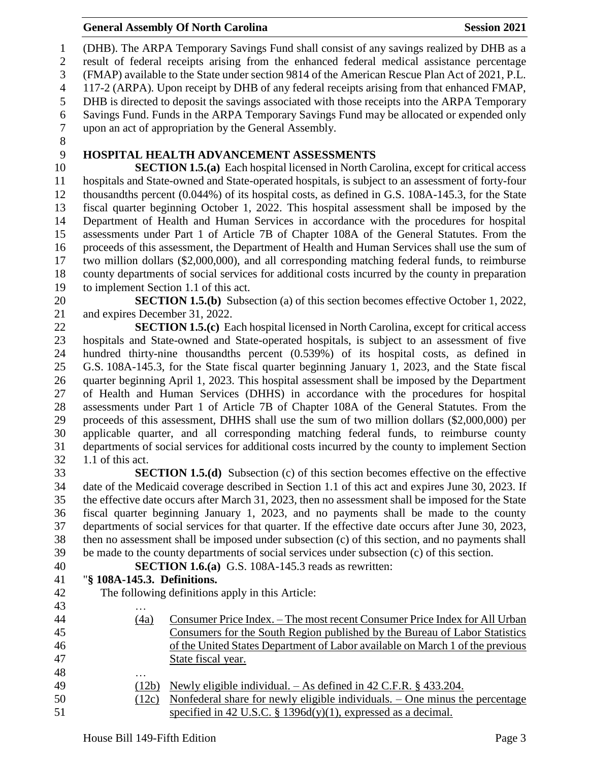(DHB). The ARPA Temporary Savings Fund shall consist of any savings realized by DHB as a result of federal receipts arising from the enhanced federal medical assistance percentage (FMAP) available to the State under section 9814 of the American Rescue Plan Act of 2021, P.L. 117-2 (ARPA). Upon receipt by DHB of any federal receipts arising from that enhanced FMAP, DHB is directed to deposit the savings associated with those receipts into the ARPA Temporary Savings Fund. Funds in the ARPA Temporary Savings Fund may be allocated or expended only upon an act of appropriation by the General Assembly.

# **HOSPITAL HEALTH ADVANCEMENT ASSESSMENTS**

 **SECTION 1.5.(a)** Each hospital licensed in North Carolina, except for critical access hospitals and State-owned and State-operated hospitals, is subject to an assessment of forty-four thousandths percent (0.044%) of its hospital costs, as defined in G.S. 108A-145.3, for the State fiscal quarter beginning October 1, 2022. This hospital assessment shall be imposed by the Department of Health and Human Services in accordance with the procedures for hospital assessments under Part 1 of Article 7B of Chapter 108A of the General Statutes. From the proceeds of this assessment, the Department of Health and Human Services shall use the sum of two million dollars (\$2,000,000), and all corresponding matching federal funds, to reimburse county departments of social services for additional costs incurred by the county in preparation to implement Section 1.1 of this act.

 **SECTION 1.5.(b)** Subsection (a) of this section becomes effective October 1, 2022, and expires December 31, 2022.

 **SECTION 1.5.(c)** Each hospital licensed in North Carolina, except for critical access hospitals and State-owned and State-operated hospitals, is subject to an assessment of five hundred thirty-nine thousandths percent (0.539%) of its hospital costs, as defined in G.S. 108A-145.3, for the State fiscal quarter beginning January 1, 2023, and the State fiscal quarter beginning April 1, 2023. This hospital assessment shall be imposed by the Department of Health and Human Services (DHHS) in accordance with the procedures for hospital assessments under Part 1 of Article 7B of Chapter 108A of the General Statutes. From the proceeds of this assessment, DHHS shall use the sum of two million dollars (\$2,000,000) per applicable quarter, and all corresponding matching federal funds, to reimburse county departments of social services for additional costs incurred by the county to implement Section 1.1 of this act.

 **SECTION 1.5.(d)** Subsection (c) of this section becomes effective on the effective date of the Medicaid coverage described in Section 1.1 of this act and expires June 30, 2023. If the effective date occurs after March 31, 2023, then no assessment shall be imposed for the State fiscal quarter beginning January 1, 2023, and no payments shall be made to the county departments of social services for that quarter. If the effective date occurs after June 30, 2023, then no assessment shall be imposed under subsection (c) of this section, and no payments shall be made to the county departments of social services under subsection (c) of this section.

- 
- **SECTION 1.6.(a)** G.S. 108A-145.3 reads as rewritten:

### "**§ 108A-145.3. Definitions.**

The following definitions apply in this Article:

 … (4a) Consumer Price Index. – The most recent Consumer Price Index for All Urban Consumers for the South Region published by the Bureau of Labor Statistics of the United States Department of Labor available on March 1 of the previous State fiscal year. … (12b) Newly eligible individual. – As defined in 42 C.F.R. § 433.204. (12c) Nonfederal share for newly eligible individuals. – One minus the percentage specified in 42 U.S.C. § 1396d(y)(1), expressed as a decimal.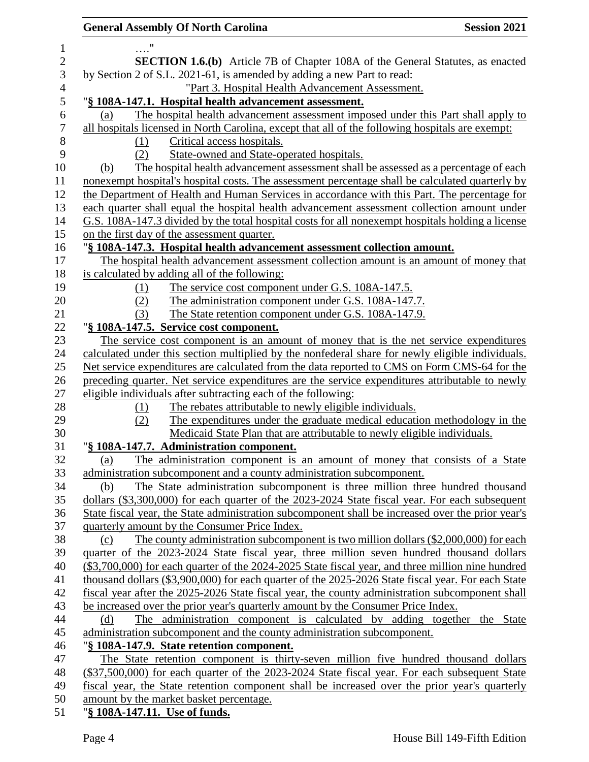| <b>General Assembly Of North Carolina</b>                                                          | <b>Session 2021</b> |
|----------------------------------------------------------------------------------------------------|---------------------|
|                                                                                                    |                     |
| <b>SECTION 1.6.(b)</b> Article 7B of Chapter 108A of the General Statutes, as enacted              |                     |
| by Section 2 of S.L. 2021-61, is amended by adding a new Part to read:                             |                     |
| "Part 3. Hospital Health Advancement Assessment.                                                   |                     |
| "§ 108A-147.1. Hospital health advancement assessment.                                             |                     |
| The hospital health advancement assessment imposed under this Part shall apply to<br>(a)           |                     |
| all hospitals licensed in North Carolina, except that all of the following hospitals are exempt:   |                     |
| Critical access hospitals.<br>(1)                                                                  |                     |
| State-owned and State-operated hospitals.<br>(2)                                                   |                     |
| The hospital health advancement assessment shall be assessed as a percentage of each<br>(b)        |                     |
| nonexempt hospital's hospital costs. The assessment percentage shall be calculated quarterly by    |                     |
| the Department of Health and Human Services in accordance with this Part. The percentage for       |                     |
| each quarter shall equal the hospital health advancement assessment collection amount under        |                     |
| G.S. 108A-147.3 divided by the total hospital costs for all nonexempt hospitals holding a license  |                     |
| on the first day of the assessment quarter.                                                        |                     |
| "§ 108A-147.3. Hospital health advancement assessment collection amount.                           |                     |
| The hospital health advancement assessment collection amount is an amount of money that            |                     |
| is calculated by adding all of the following:                                                      |                     |
| The service cost component under G.S. 108A-147.5.<br>(1)                                           |                     |
| The administration component under G.S. 108A-147.7.<br>(2)                                         |                     |
| The State retention component under G.S. 108A-147.9.<br>(3)                                        |                     |
| "§ 108A-147.5. Service cost component.                                                             |                     |
| The service cost component is an amount of money that is the net service expenditures              |                     |
| calculated under this section multiplied by the nonfederal share for newly eligible individuals.   |                     |
| Net service expenditures are calculated from the data reported to CMS on Form CMS-64 for the       |                     |
| preceding quarter. Net service expenditures are the service expenditures attributable to newly     |                     |
| eligible individuals after subtracting each of the following:                                      |                     |
| The rebates attributable to newly eligible individuals.<br>(1)                                     |                     |
| The expenditures under the graduate medical education methodology in the<br>(2)                    |                     |
| Medicaid State Plan that are attributable to newly eligible individuals.                           |                     |
| "§ 108A-147.7. Administration component.                                                           |                     |
| The administration component is an amount of money that consists of a State<br>(a)                 |                     |
| administration subcomponent and a county administration subcomponent.                              |                     |
| The State administration subcomponent is three million three hundred thousand<br>(b)               |                     |
| dollars (\$3,300,000) for each quarter of the 2023-2024 State fiscal year. For each subsequent     |                     |
| State fiscal year, the State administration subcomponent shall be increased over the prior year's  |                     |
| quarterly amount by the Consumer Price Index.                                                      |                     |
| The county administration subcomponent is two million dollars (\$2,000,000) for each<br>(c)        |                     |
| quarter of the 2023-2024 State fiscal year, three million seven hundred thousand dollars           |                     |
| (\$3,700,000) for each quarter of the 2024-2025 State fiscal year, and three million nine hundred  |                     |
| thousand dollars (\$3,900,000) for each quarter of the 2025-2026 State fiscal year. For each State |                     |
| fiscal year after the 2025-2026 State fiscal year, the county administration subcomponent shall    |                     |
| be increased over the prior year's quarterly amount by the Consumer Price Index.                   |                     |
| The administration component is calculated by adding together the State<br>(d)                     |                     |
| administration subcomponent and the county administration subcomponent.                            |                     |
| "§ 108A-147.9. State retention component.                                                          |                     |
| The State retention component is thirty-seven million five hundred thousand dollars                |                     |
| (\$37,500,000) for each quarter of the 2023-2024 State fiscal year. For each subsequent State      |                     |
| fiscal year, the State retention component shall be increased over the prior year's quarterly      |                     |
| amount by the market basket percentage.                                                            |                     |
| "§ 108A-147.11. Use of funds.                                                                      |                     |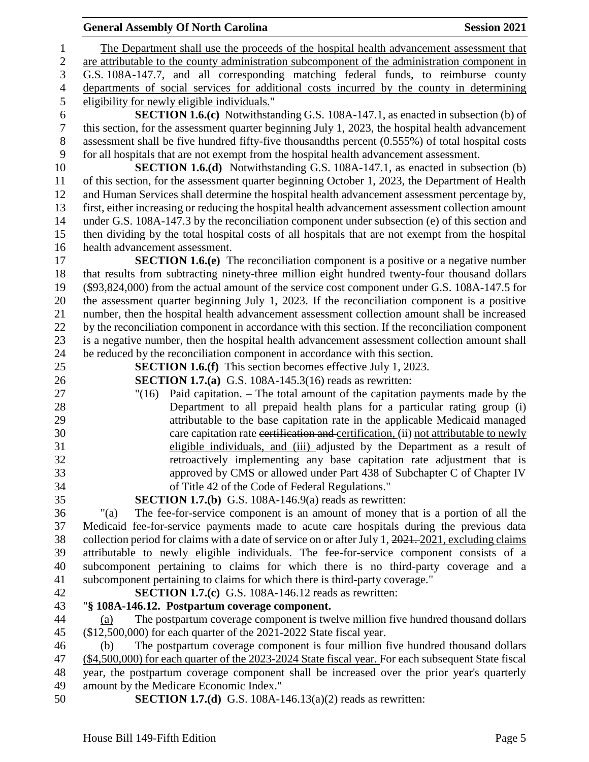The Department shall use the proceeds of the hospital health advancement assessment that are attributable to the county administration subcomponent of the administration component in G.S. 108A-147.7, and all corresponding matching federal funds, to reimburse county departments of social services for additional costs incurred by the county in determining eligibility for newly eligible individuals." **SECTION 1.6.(c)** Notwithstanding G.S. 108A-147.1, as enacted in subsection (b) of this section, for the assessment quarter beginning July 1, 2023, the hospital health advancement assessment shall be five hundred fifty-five thousandths percent (0.555%) of total hospital costs for all hospitals that are not exempt from the hospital health advancement assessment. **SECTION 1.6.(d)** Notwithstanding G.S. 108A-147.1, as enacted in subsection (b) of this section, for the assessment quarter beginning October 1, 2023, the Department of Health and Human Services shall determine the hospital health advancement assessment percentage by, first, either increasing or reducing the hospital health advancement assessment collection amount under G.S. 108A-147.3 by the reconciliation component under subsection (e) of this section and then dividing by the total hospital costs of all hospitals that are not exempt from the hospital health advancement assessment. **SECTION 1.6.(e)** The reconciliation component is a positive or a negative number that results from subtracting ninety-three million eight hundred twenty-four thousand dollars (\$93,824,000) from the actual amount of the service cost component under G.S. 108A-147.5 for the assessment quarter beginning July 1, 2023. If the reconciliation component is a positive number, then the hospital health advancement assessment collection amount shall be increased by the reconciliation component in accordance with this section. If the reconciliation component is a negative number, then the hospital health advancement assessment collection amount shall be reduced by the reconciliation component in accordance with this section. **SECTION 1.6.(f)** This section becomes effective July 1, 2023. **SECTION 1.7.(a)** G.S. 108A-145.3(16) reads as rewritten: "(16) Paid capitation. – The total amount of the capitation payments made by the Department to all prepaid health plans for a particular rating group (i) attributable to the base capitation rate in the applicable Medicaid managed 30 care capitation rate certification and certification, (ii) not attributable to newly eligible individuals, and (iii) adjusted by the Department as a result of retroactively implementing any base capitation rate adjustment that is approved by CMS or allowed under Part 438 of Subchapter C of Chapter IV of Title 42 of the Code of Federal Regulations." **SECTION 1.7.(b)** G.S. 108A-146.9(a) reads as rewritten: "(a) The fee-for-service component is an amount of money that is a portion of all the Medicaid fee-for-service payments made to acute care hospitals during the previous data collection period for claims with a date of service on or after July 1, 2021. 2021, excluding claims attributable to newly eligible individuals. The fee-for-service component consists of a subcomponent pertaining to claims for which there is no third-party coverage and a subcomponent pertaining to claims for which there is third-party coverage." **SECTION 1.7.(c)** G.S. 108A-146.12 reads as rewritten: "**§ 108A-146.12. Postpartum coverage component.** (a) The postpartum coverage component is twelve million five hundred thousand dollars (\$12,500,000) for each quarter of the 2021-2022 State fiscal year. (b) The postpartum coverage component is four million five hundred thousand dollars (\$4,500,000) for each quarter of the 2023-2024 State fiscal year. For each subsequent State fiscal year, the postpartum coverage component shall be increased over the prior year's quarterly amount by the Medicare Economic Index." **SECTION 1.7.(d)** G.S. 108A-146.13(a)(2) reads as rewritten: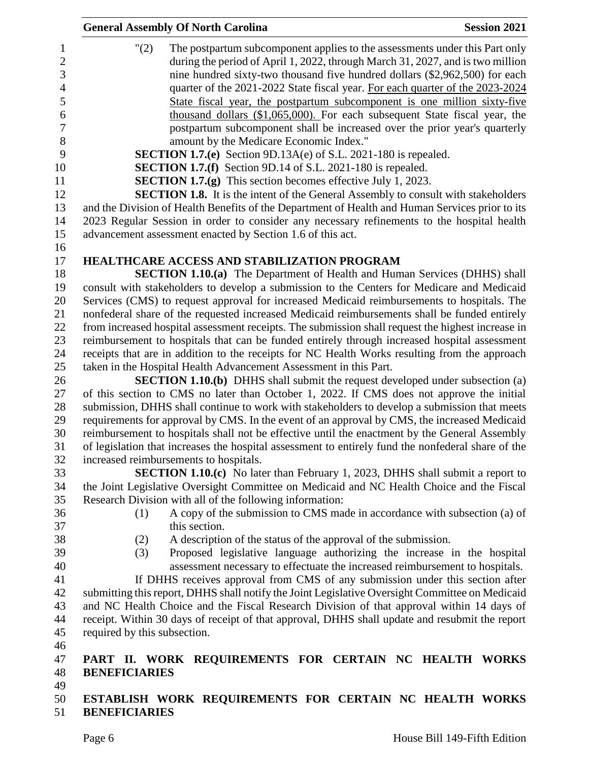|                                  | <b>General Assembly Of North Carolina</b><br><b>Session 2021</b>                                                                                                               |  |  |  |  |
|----------------------------------|--------------------------------------------------------------------------------------------------------------------------------------------------------------------------------|--|--|--|--|
| $\mathbf{1}$<br>$\boldsymbol{2}$ | "(2)<br>The postpartum subcomponent applies to the assessments under this Part only<br>during the period of April 1, 2022, through March 31, 2027, and is two million          |  |  |  |  |
| 3                                | nine hundred sixty-two thousand five hundred dollars (\$2,962,500) for each                                                                                                    |  |  |  |  |
| $\overline{4}$                   | quarter of the 2021-2022 State fiscal year. For each quarter of the 2023-2024                                                                                                  |  |  |  |  |
| 5                                | State fiscal year, the postpartum subcomponent is one million sixty-five                                                                                                       |  |  |  |  |
| 6                                | thousand dollars (\$1,065,000). For each subsequent State fiscal year, the                                                                                                     |  |  |  |  |
| $\boldsymbol{7}$                 | postpartum subcomponent shall be increased over the prior year's quarterly                                                                                                     |  |  |  |  |
| $8\,$                            | amount by the Medicare Economic Index."                                                                                                                                        |  |  |  |  |
| 9                                | <b>SECTION 1.7.(e)</b> Section 9D.13A(e) of S.L. 2021-180 is repealed.                                                                                                         |  |  |  |  |
| 10                               | <b>SECTION 1.7.(f)</b> Section 9D.14 of S.L. 2021-180 is repealed.                                                                                                             |  |  |  |  |
| 11                               | <b>SECTION 1.7.(g)</b> This section becomes effective July 1, 2023.                                                                                                            |  |  |  |  |
| 12                               | <b>SECTION 1.8.</b> It is the intent of the General Assembly to consult with stakeholders                                                                                      |  |  |  |  |
| 13                               | and the Division of Health Benefits of the Department of Health and Human Services prior to its                                                                                |  |  |  |  |
| 14                               | 2023 Regular Session in order to consider any necessary refinements to the hospital health                                                                                     |  |  |  |  |
| 15                               | advancement assessment enacted by Section 1.6 of this act.                                                                                                                     |  |  |  |  |
| 16                               |                                                                                                                                                                                |  |  |  |  |
| 17<br>18                         | HEALTHCARE ACCESS AND STABILIZATION PROGRAM                                                                                                                                    |  |  |  |  |
| 19                               | <b>SECTION 1.10.(a)</b> The Department of Health and Human Services (DHHS) shall<br>consult with stakeholders to develop a submission to the Centers for Medicare and Medicaid |  |  |  |  |
| 20                               | Services (CMS) to request approval for increased Medicaid reimbursements to hospitals. The                                                                                     |  |  |  |  |
| 21                               | nonfederal share of the requested increased Medicaid reimbursements shall be funded entirely                                                                                   |  |  |  |  |
| 22                               | from increased hospital assessment receipts. The submission shall request the highest increase in                                                                              |  |  |  |  |
| 23                               | reimbursement to hospitals that can be funded entirely through increased hospital assessment                                                                                   |  |  |  |  |
| 24                               | receipts that are in addition to the receipts for NC Health Works resulting from the approach                                                                                  |  |  |  |  |
| 25                               | taken in the Hospital Health Advancement Assessment in this Part.                                                                                                              |  |  |  |  |
| 26                               | <b>SECTION 1.10.(b)</b> DHHS shall submit the request developed under subsection (a)                                                                                           |  |  |  |  |
| 27                               | of this section to CMS no later than October 1, 2022. If CMS does not approve the initial                                                                                      |  |  |  |  |
| 28                               | submission, DHHS shall continue to work with stakeholders to develop a submission that meets                                                                                   |  |  |  |  |
| 29                               | requirements for approval by CMS. In the event of an approval by CMS, the increased Medicaid                                                                                   |  |  |  |  |
| 30                               | reimbursement to hospitals shall not be effective until the enactment by the General Assembly                                                                                  |  |  |  |  |
| 31                               | of legislation that increases the hospital assessment to entirely fund the nonfederal share of the                                                                             |  |  |  |  |
| 32                               | increased reimbursements to hospitals.                                                                                                                                         |  |  |  |  |
| 33                               | <b>SECTION 1.10.(c)</b> No later than February 1, 2023, DHHS shall submit a report to                                                                                          |  |  |  |  |
| 34                               | the Joint Legislative Oversight Committee on Medicaid and NC Health Choice and the Fiscal                                                                                      |  |  |  |  |
| 35                               | Research Division with all of the following information:                                                                                                                       |  |  |  |  |
| 36                               | A copy of the submission to CMS made in accordance with subsection (a) of<br>(1)                                                                                               |  |  |  |  |
| 37                               | this section.                                                                                                                                                                  |  |  |  |  |
| 38                               | (2)<br>A description of the status of the approval of the submission.                                                                                                          |  |  |  |  |
| 39                               | Proposed legislative language authorizing the increase in the hospital<br>(3)                                                                                                  |  |  |  |  |
| 40                               | assessment necessary to effectuate the increased reimbursement to hospitals.                                                                                                   |  |  |  |  |
| 41                               | If DHHS receives approval from CMS of any submission under this section after                                                                                                  |  |  |  |  |
| 42                               | submitting this report, DHHS shall notify the Joint Legislative Oversight Committee on Medicaid                                                                                |  |  |  |  |
| 43                               | and NC Health Choice and the Fiscal Research Division of that approval within 14 days of                                                                                       |  |  |  |  |
| 44                               | receipt. Within 30 days of receipt of that approval, DHHS shall update and resubmit the report                                                                                 |  |  |  |  |
| 45                               | required by this subsection.                                                                                                                                                   |  |  |  |  |
| 46                               |                                                                                                                                                                                |  |  |  |  |
| 47                               | PART II. WORK REQUIREMENTS FOR CERTAIN NC HEALTH WORKS                                                                                                                         |  |  |  |  |
| 48                               | <b>BENEFICIARIES</b>                                                                                                                                                           |  |  |  |  |
| 49                               |                                                                                                                                                                                |  |  |  |  |
| 50<br>51                         | ESTABLISH WORK REQUIREMENTS FOR CERTAIN NC HEALTH WORKS<br><b>BENEFICIARIES</b>                                                                                                |  |  |  |  |
|                                  |                                                                                                                                                                                |  |  |  |  |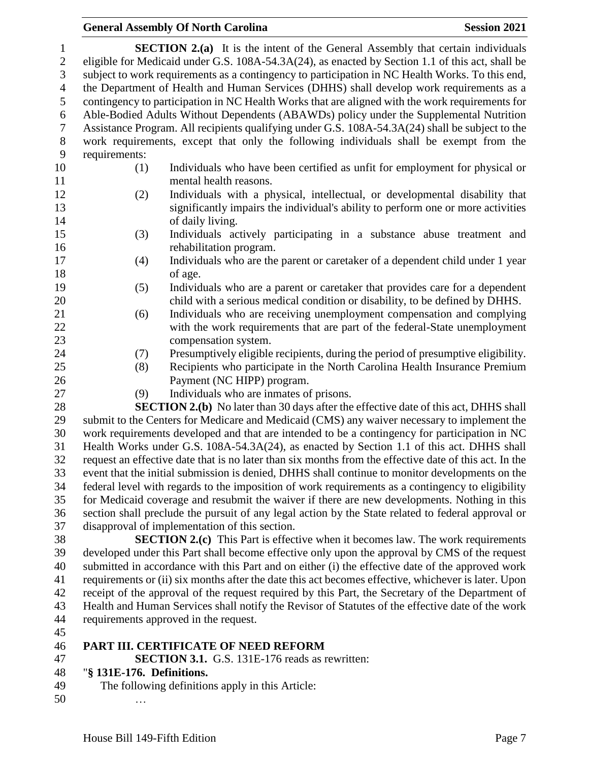| $\mathbf{1}$        |                                                                                                                                                                                            | <b>SECTION 2.(a)</b> It is the intent of the General Assembly that certain individuals                  |  |  |  |  |
|---------------------|--------------------------------------------------------------------------------------------------------------------------------------------------------------------------------------------|---------------------------------------------------------------------------------------------------------|--|--|--|--|
| $\overline{c}$<br>3 | eligible for Medicaid under G.S. 108A-54.3A(24), as enacted by Section 1.1 of this act, shall be                                                                                           |                                                                                                         |  |  |  |  |
| $\overline{4}$      | subject to work requirements as a contingency to participation in NC Health Works. To this end,                                                                                            |                                                                                                         |  |  |  |  |
| 5                   | the Department of Health and Human Services (DHHS) shall develop work requirements as a<br>contingency to participation in NC Health Works that are aligned with the work requirements for |                                                                                                         |  |  |  |  |
| $\boldsymbol{6}$    |                                                                                                                                                                                            | Able-Bodied Adults Without Dependents (ABAWDs) policy under the Supplemental Nutrition                  |  |  |  |  |
| $\tau$              |                                                                                                                                                                                            | Assistance Program. All recipients qualifying under G.S. 108A-54.3A(24) shall be subject to the         |  |  |  |  |
| $\,8\,$             |                                                                                                                                                                                            | work requirements, except that only the following individuals shall be exempt from the                  |  |  |  |  |
| 9                   | requirements:                                                                                                                                                                              |                                                                                                         |  |  |  |  |
| 10<br>11            | (1)                                                                                                                                                                                        | Individuals who have been certified as unfit for employment for physical or<br>mental health reasons.   |  |  |  |  |
| 12                  | (2)                                                                                                                                                                                        | Individuals with a physical, intellectual, or developmental disability that                             |  |  |  |  |
| 13                  |                                                                                                                                                                                            | significantly impairs the individual's ability to perform one or more activities                        |  |  |  |  |
| 14                  |                                                                                                                                                                                            | of daily living.                                                                                        |  |  |  |  |
| 15                  | (3)                                                                                                                                                                                        | Individuals actively participating in a substance abuse treatment and                                   |  |  |  |  |
| 16                  |                                                                                                                                                                                            | rehabilitation program.                                                                                 |  |  |  |  |
| 17                  | (4)                                                                                                                                                                                        | Individuals who are the parent or caretaker of a dependent child under 1 year                           |  |  |  |  |
| 18                  |                                                                                                                                                                                            | of age.                                                                                                 |  |  |  |  |
| 19                  | (5)                                                                                                                                                                                        | Individuals who are a parent or caretaker that provides care for a dependent                            |  |  |  |  |
| 20                  |                                                                                                                                                                                            | child with a serious medical condition or disability, to be defined by DHHS.                            |  |  |  |  |
| 21                  | (6)                                                                                                                                                                                        | Individuals who are receiving unemployment compensation and complying                                   |  |  |  |  |
| 22                  |                                                                                                                                                                                            | with the work requirements that are part of the federal-State unemployment                              |  |  |  |  |
| 23                  |                                                                                                                                                                                            | compensation system.                                                                                    |  |  |  |  |
| 24                  | (7)                                                                                                                                                                                        | Presumptively eligible recipients, during the period of presumptive eligibility.                        |  |  |  |  |
| 25<br>26            | (8)                                                                                                                                                                                        | Recipients who participate in the North Carolina Health Insurance Premium<br>Payment (NC HIPP) program. |  |  |  |  |
| 27                  | (9)                                                                                                                                                                                        | Individuals who are inmates of prisons.                                                                 |  |  |  |  |
| 28                  |                                                                                                                                                                                            | <b>SECTION 2.(b)</b> No later than 30 days after the effective date of this act, DHHS shall             |  |  |  |  |
| 29                  | submit to the Centers for Medicare and Medicaid (CMS) any waiver necessary to implement the                                                                                                |                                                                                                         |  |  |  |  |
| 30                  | work requirements developed and that are intended to be a contingency for participation in NC                                                                                              |                                                                                                         |  |  |  |  |
| 31                  | Health Works under G.S. 108A-54.3A(24), as enacted by Section 1.1 of this act. DHHS shall                                                                                                  |                                                                                                         |  |  |  |  |
| 32                  | request an effective date that is no later than six months from the effective date of this act. In the                                                                                     |                                                                                                         |  |  |  |  |
| 33                  | event that the initial submission is denied, DHHS shall continue to monitor developments on the                                                                                            |                                                                                                         |  |  |  |  |
| 34                  | federal level with regards to the imposition of work requirements as a contingency to eligibility                                                                                          |                                                                                                         |  |  |  |  |
| 35                  | for Medicaid coverage and resubmit the waiver if there are new developments. Nothing in this                                                                                               |                                                                                                         |  |  |  |  |

 section shall preclude the pursuit of any legal action by the State related to federal approval or disapproval of implementation of this section.

 **SECTION 2.(c)** This Part is effective when it becomes law. The work requirements developed under this Part shall become effective only upon the approval by CMS of the request submitted in accordance with this Part and on either (i) the effective date of the approved work requirements or (ii) six months after the date this act becomes effective, whichever is later. Upon receipt of the approval of the request required by this Part, the Secretary of the Department of Health and Human Services shall notify the Revisor of Statutes of the effective date of the work requirements approved in the request.

### **PART III. CERTIFICATE OF NEED REFORM**

**SECTION 3.1.** G.S. 131E-176 reads as rewritten:

### "**§ 131E-176. Definitions.**

- The following definitions apply in this Article:
- …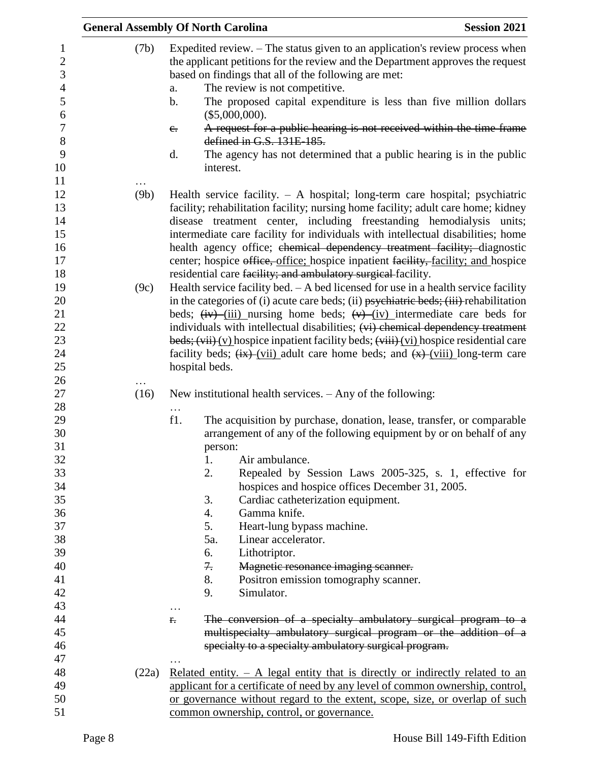|                                                                                                                |              | <b>General Assembly Of North Carolina</b><br><b>Session 2021</b>                                                                                                                                                                                                                                                                                                                                                                                                                                                                                                                                                                                                                                                                                                                                                                                                                                                                                                                                               |  |
|----------------------------------------------------------------------------------------------------------------|--------------|----------------------------------------------------------------------------------------------------------------------------------------------------------------------------------------------------------------------------------------------------------------------------------------------------------------------------------------------------------------------------------------------------------------------------------------------------------------------------------------------------------------------------------------------------------------------------------------------------------------------------------------------------------------------------------------------------------------------------------------------------------------------------------------------------------------------------------------------------------------------------------------------------------------------------------------------------------------------------------------------------------------|--|
| $\mathbf{1}$<br>$\overline{2}$<br>3<br>$\overline{4}$<br>5<br>6<br>$\boldsymbol{7}$<br>8<br>9<br>10            | (7b)         | Expedited review. - The status given to an application's review process when<br>the applicant petitions for the review and the Department approves the request<br>based on findings that all of the following are met:<br>The review is not competitive.<br>a.<br>The proposed capital expenditure is less than five million dollars<br>$\mathbf b$ .<br>(\$5,000,000).<br>A request for a public hearing is not received within the time frame<br>$e_{\cdot}$<br>defined in G.S. 131E-185.<br>The agency has not determined that a public hearing is in the public<br>d.<br>interest.                                                                                                                                                                                                                                                                                                                                                                                                                         |  |
| 11<br>12<br>13<br>14<br>15<br>16<br>17<br>18<br>19<br>20<br>21<br>22<br>23                                     | (9b)<br>(9c) | Health service facility. $- A$ hospital; long-term care hospital; psychiatric<br>facility; rehabilitation facility; nursing home facility; adult care home; kidney<br>disease treatment center, including freestanding hemodialysis units;<br>intermediate care facility for individuals with intellectual disabilities; home<br>health agency office; chemical dependency treatment facility; diagnostic<br>center; hospice office, office; hospice inpatient facility, facility; and hospice<br>residential care facility; and ambulatory surgical facility.<br>Health service facility bed. $- A$ bed licensed for use in a health service facility<br>in the categories of (i) acute care beds; (ii) $p$ sychiatric beds; (iii) rehabilitation<br>beds; $(iv)$ (iii) nursing home beds; $(v)$ (iv) intermediate care beds for<br>individuals with intellectual disabilities; (vi) chemical dependency treatment<br>beds; $(vii)(y)$ hospice inpatient facility beds; $(viii)(yi)$ hospice residential care |  |
| 24<br>25<br>26<br>27                                                                                           | (16)         | facility beds; $\frac{f(x)}{f(x)}$ (vii) adult care home beds; and $\frac{f(x)}{g(x)}$ (viii) long-term care<br>hospital beds.<br>New institutional health services. $-$ Any of the following:                                                                                                                                                                                                                                                                                                                                                                                                                                                                                                                                                                                                                                                                                                                                                                                                                 |  |
| 28<br>29<br>30<br>31<br>32<br>33<br>34<br>35<br>36<br>37<br>38<br>39<br>40<br>41<br>42<br>43<br>44<br>45<br>46 |              | $\cdots$<br>f1.<br>The acquisition by purchase, donation, lease, transfer, or comparable<br>arrangement of any of the following equipment by or on behalf of any<br>person:<br>1.<br>Air ambulance.<br>2.<br>Repealed by Session Laws 2005-325, s. 1, effective for<br>hospices and hospice offices December 31, 2005.<br>Cardiac catheterization equipment.<br>3.<br>Gamma knife.<br>4.<br>5.<br>Heart-lung bypass machine.<br>5a.<br>Linear accelerator.<br>6.<br>Lithotriptor.<br>7.<br>Magnetic resonance imaging scanner.<br>8.<br>Positron emission tomography scanner.<br>Simulator.<br>9.<br>.<br>The conversion of a specialty ambulatory surgical program to a<br>f.<br>multispecialty ambulatory surgical program or the addition of a<br>specialty to a specialty ambulatory surgical program.                                                                                                                                                                                                     |  |
| 47<br>48<br>49<br>50<br>51                                                                                     | (22a)        | Related entity. $- A$ legal entity that is directly or indirectly related to an<br>applicant for a certificate of need by any level of common ownership, control,<br>or governance without regard to the extent, scope, size, or overlap of such<br>common ownership, control, or governance.                                                                                                                                                                                                                                                                                                                                                                                                                                                                                                                                                                                                                                                                                                                  |  |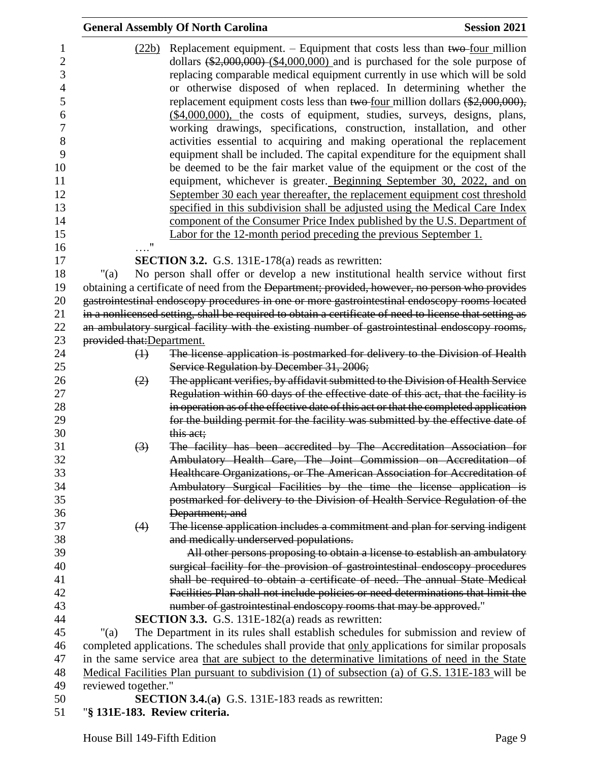|                                                                                                                 |                               | <b>General Assembly Of North Carolina</b>                                                                                                                                                                                                                                                                                                                                                                                                                                                                                                                                                                                                                                                                                                                                                                                                                                                                                                                                                                                                                                                                                                                                                           | <b>Session 2021</b> |
|-----------------------------------------------------------------------------------------------------------------|-------------------------------|-----------------------------------------------------------------------------------------------------------------------------------------------------------------------------------------------------------------------------------------------------------------------------------------------------------------------------------------------------------------------------------------------------------------------------------------------------------------------------------------------------------------------------------------------------------------------------------------------------------------------------------------------------------------------------------------------------------------------------------------------------------------------------------------------------------------------------------------------------------------------------------------------------------------------------------------------------------------------------------------------------------------------------------------------------------------------------------------------------------------------------------------------------------------------------------------------------|---------------------|
| 1<br>$\overline{2}$<br>3<br>4<br>5<br>6<br>$\boldsymbol{7}$<br>8<br>9<br>10<br>11<br>12<br>13<br>14<br>15<br>16 | $\ldots$ "                    | $(22b)$ Replacement equipment. – Equipment that costs less than two-four million<br>dollars $(*2,000,000)$ $(*4,000,000)$ and is purchased for the sole purpose of<br>replacing comparable medical equipment currently in use which will be sold<br>or otherwise disposed of when replaced. In determining whether the<br>replacement equipment costs less than two-four million dollars $(*2,000,000)$ ,<br>(\$4,000,000), the costs of equipment, studies, surveys, designs, plans,<br>working drawings, specifications, construction, installation, and other<br>activities essential to acquiring and making operational the replacement<br>equipment shall be included. The capital expenditure for the equipment shall<br>be deemed to be the fair market value of the equipment or the cost of the<br>equipment, whichever is greater. Beginning September 30, 2022, and on<br>September 30 each year thereafter, the replacement equipment cost threshold<br>specified in this subdivision shall be adjusted using the Medical Care Index<br>component of the Consumer Price Index published by the U.S. Department of<br>Labor for the 12-month period preceding the previous September 1. |                     |
| 17                                                                                                              |                               | <b>SECTION 3.2.</b> G.S. 131E-178 $(a)$ reads as rewritten:                                                                                                                                                                                                                                                                                                                                                                                                                                                                                                                                                                                                                                                                                                                                                                                                                                                                                                                                                                                                                                                                                                                                         |                     |
| 18<br>19<br>20<br>21<br>22                                                                                      | "(a)                          | No person shall offer or develop a new institutional health service without first<br>obtaining a certificate of need from the Department; provided, however, no person who provides<br>gastrointestinal endoscopy procedures in one or more gastrointestinal endoscopy rooms located<br>in a nonlicensed setting, shall be required to obtain a certificate of need to license that setting as<br>an ambulatory surgical facility with the existing number of gastrointestinal endoscopy rooms,                                                                                                                                                                                                                                                                                                                                                                                                                                                                                                                                                                                                                                                                                                     |                     |
| 23                                                                                                              | provided that: Department.    |                                                                                                                                                                                                                                                                                                                                                                                                                                                                                                                                                                                                                                                                                                                                                                                                                                                                                                                                                                                                                                                                                                                                                                                                     |                     |
| 24                                                                                                              | $\leftrightarrow$             | The license application is postmarked for delivery to the Division of Health                                                                                                                                                                                                                                                                                                                                                                                                                                                                                                                                                                                                                                                                                                                                                                                                                                                                                                                                                                                                                                                                                                                        |                     |
| 25<br>26<br>27<br>28                                                                                            | (2)                           | Service Regulation by December 31, 2006;<br>The applicant verifies, by affidavit submitted to the Division of Health Service<br>Regulation within 60 days of the effective date of this act, that the facility is<br>in operation as of the effective date of this act or that the completed application                                                                                                                                                                                                                                                                                                                                                                                                                                                                                                                                                                                                                                                                                                                                                                                                                                                                                            |                     |
| 29<br>30                                                                                                        |                               | for the building permit for the facility was submitted by the effective date of<br>this act;                                                                                                                                                                                                                                                                                                                                                                                                                                                                                                                                                                                                                                                                                                                                                                                                                                                                                                                                                                                                                                                                                                        |                     |
| 31<br>32<br>33<br>34<br>35<br>36                                                                                | $\left(3\right)$              | The facility has been accredited by The Accreditation Association for<br>Ambulatory Health Care, The Joint Commission on Accreditation of<br>Healthcare Organizations, or The American Association for Accreditation of<br>Ambulatory Surgical Facilities by the time the license application is<br>postmarked for delivery to the Division of Health Service Regulation of the<br>Department; and                                                                                                                                                                                                                                                                                                                                                                                                                                                                                                                                                                                                                                                                                                                                                                                                  |                     |
| 37<br>38<br>39<br>40<br>41<br>42                                                                                | (4)                           | The license application includes a commitment and plan for serving indigent<br>and medically underserved populations.<br>All other persons proposing to obtain a license to establish an ambulatory<br>surgical facility for the provision of gastrointestinal endoscopy procedures<br>shall be required to obtain a certificate of need. The annual State Medical<br>Facilities Plan shall not include policies or need determinations that limit the                                                                                                                                                                                                                                                                                                                                                                                                                                                                                                                                                                                                                                                                                                                                              |                     |
| 43                                                                                                              |                               | number of gastrointestinal endoscopy rooms that may be approved."                                                                                                                                                                                                                                                                                                                                                                                                                                                                                                                                                                                                                                                                                                                                                                                                                                                                                                                                                                                                                                                                                                                                   |                     |
| 44<br>45                                                                                                        |                               | <b>SECTION 3.3.</b> G.S. 131E-182(a) reads as rewritten:                                                                                                                                                                                                                                                                                                                                                                                                                                                                                                                                                                                                                                                                                                                                                                                                                                                                                                                                                                                                                                                                                                                                            |                     |
| 46                                                                                                              | " $(a)$                       | The Department in its rules shall establish schedules for submission and review of<br>completed applications. The schedules shall provide that only applications for similar proposals                                                                                                                                                                                                                                                                                                                                                                                                                                                                                                                                                                                                                                                                                                                                                                                                                                                                                                                                                                                                              |                     |
| 47                                                                                                              |                               | in the same service area that are subject to the determinative limitations of need in the State                                                                                                                                                                                                                                                                                                                                                                                                                                                                                                                                                                                                                                                                                                                                                                                                                                                                                                                                                                                                                                                                                                     |                     |
| 48                                                                                                              |                               | <u>Medical Facilities Plan pursuant to subdivision (1) of subsection (a) of G.S. 131E-183 will be</u>                                                                                                                                                                                                                                                                                                                                                                                                                                                                                                                                                                                                                                                                                                                                                                                                                                                                                                                                                                                                                                                                                               |                     |
| 49                                                                                                              | reviewed together."           |                                                                                                                                                                                                                                                                                                                                                                                                                                                                                                                                                                                                                                                                                                                                                                                                                                                                                                                                                                                                                                                                                                                                                                                                     |                     |
| 50                                                                                                              |                               | <b>SECTION 3.4.(a)</b> G.S. 131E-183 reads as rewritten:                                                                                                                                                                                                                                                                                                                                                                                                                                                                                                                                                                                                                                                                                                                                                                                                                                                                                                                                                                                                                                                                                                                                            |                     |
| 51                                                                                                              | "§ 131E-183. Review criteria. |                                                                                                                                                                                                                                                                                                                                                                                                                                                                                                                                                                                                                                                                                                                                                                                                                                                                                                                                                                                                                                                                                                                                                                                                     |                     |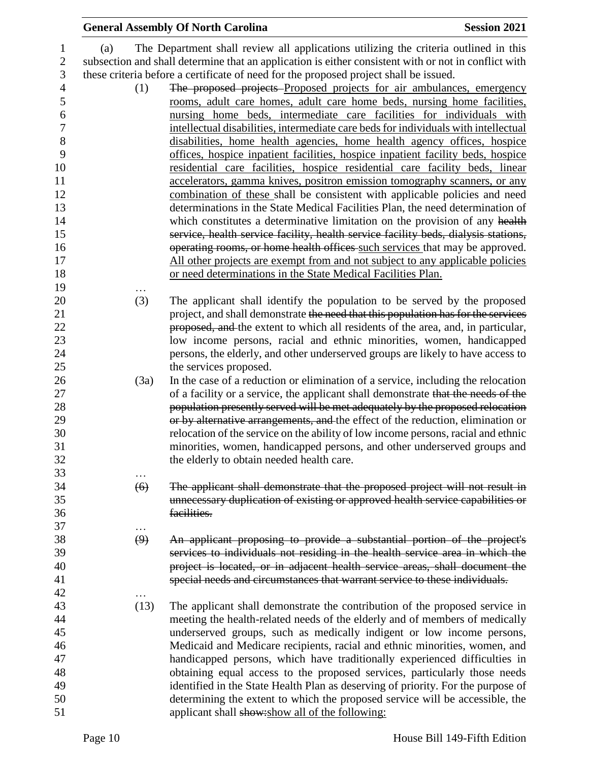|                   | <b>General Assembly Of North Carolina</b>                                                            | <b>Session 2021</b> |
|-------------------|------------------------------------------------------------------------------------------------------|---------------------|
| (a)               | The Department shall review all applications utilizing the criteria outlined in this                 |                     |
|                   | subsection and shall determine that an application is either consistent with or not in conflict with |                     |
|                   | these criteria before a certificate of need for the proposed project shall be issued.                |                     |
|                   |                                                                                                      |                     |
| (1)               | The proposed projects Proposed projects for air ambulances, emergency                                |                     |
|                   | rooms, adult care homes, adult care home beds, nursing home facilities,                              |                     |
|                   | nursing home beds, intermediate care facilities for individuals with                                 |                     |
|                   | intellectual disabilities, intermediate care beds for individuals with intellectual                  |                     |
|                   | disabilities, home health agencies, home health agency offices, hospice                              |                     |
|                   | offices, hospice inpatient facilities, hospice inpatient facility beds, hospice                      |                     |
|                   | residential care facilities, hospice residential care facility beds, linear                          |                     |
|                   | accelerators, gamma knives, positron emission tomography scanners, or any                            |                     |
|                   | combination of these shall be consistent with applicable policies and need                           |                     |
|                   | determinations in the State Medical Facilities Plan, the need determination of                       |                     |
|                   | which constitutes a determinative limitation on the provision of any health                          |                     |
|                   | service, health service facility, health service facility beds, dialysis stations,                   |                     |
|                   | operating rooms, or home health offices such services that may be approved.                          |                     |
|                   | All other projects are exempt from and not subject to any applicable policies                        |                     |
|                   | or need determinations in the State Medical Facilities Plan.                                         |                     |
|                   |                                                                                                      |                     |
| (3)               | The applicant shall identify the population to be served by the proposed                             |                     |
|                   | project, and shall demonstrate the need that this population has for the services                    |                     |
|                   | proposed, and the extent to which all residents of the area, and, in particular,                     |                     |
|                   | low income persons, racial and ethnic minorities, women, handicapped                                 |                     |
|                   | persons, the elderly, and other underserved groups are likely to have access to                      |                     |
|                   | the services proposed.                                                                               |                     |
| (3a)              | In the case of a reduction or elimination of a service, including the relocation                     |                     |
|                   | of a facility or a service, the applicant shall demonstrate that the needs of the                    |                     |
|                   | population presently served will be met adequately by the proposed relocation                        |                     |
|                   | or by alternative arrangements, and the effect of the reduction, elimination or                      |                     |
|                   | relocation of the service on the ability of low income persons, racial and ethnic                    |                     |
|                   | minorities, women, handicapped persons, and other underserved groups and                             |                     |
|                   | the elderly to obtain needed health care.                                                            |                     |
|                   |                                                                                                      |                     |
| (6)               | The applicant shall demonstrate that the proposed project will not result in                         |                     |
|                   | unnecessary duplication of existing or approved health service capabilities or                       |                     |
|                   | facilities.                                                                                          |                     |
| .                 |                                                                                                      |                     |
| $\left( 9\right)$ | An applicant proposing to provide a substantial portion of the project's                             |                     |
|                   | services to individuals not residing in the health service area in which the                         |                     |
|                   | project is located, or in adjacent health service areas, shall document the                          |                     |
|                   | special needs and circumstances that warrant service to these individuals.                           |                     |
|                   |                                                                                                      |                     |
| (13)              | The applicant shall demonstrate the contribution of the proposed service in                          |                     |
|                   | meeting the health-related needs of the elderly and of members of medically                          |                     |
|                   | underserved groups, such as medically indigent or low income persons,                                |                     |
|                   | Medicaid and Medicare recipients, racial and ethnic minorities, women, and                           |                     |
|                   | handicapped persons, which have traditionally experienced difficulties in                            |                     |
|                   | obtaining equal access to the proposed services, particularly those needs                            |                     |
|                   | identified in the State Health Plan as deserving of priority. For the purpose of                     |                     |
|                   | determining the extent to which the proposed service will be accessible, the                         |                     |
|                   | applicant shall show: show all of the following:                                                     |                     |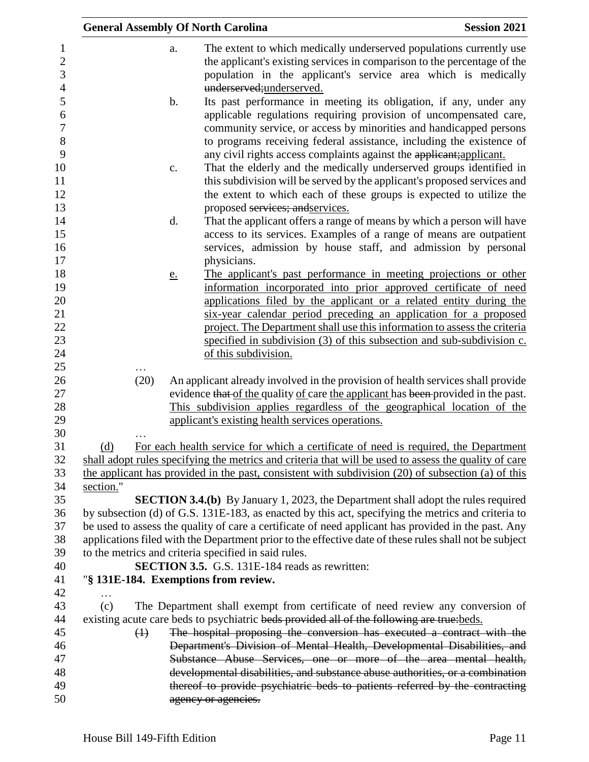|                   |               | <b>General Assembly Of North Carolina</b>                                                                                   | <b>Session 2021</b> |
|-------------------|---------------|-----------------------------------------------------------------------------------------------------------------------------|---------------------|
|                   | a.            | The extent to which medically underserved populations currently use                                                         |                     |
|                   |               | the applicant's existing services in comparison to the percentage of the                                                    |                     |
|                   |               | population in the applicant's service area which is medically                                                               |                     |
|                   |               | underserved;underserved.                                                                                                    |                     |
|                   | $\mathbf b$ . | Its past performance in meeting its obligation, if any, under any                                                           |                     |
|                   |               | applicable regulations requiring provision of uncompensated care,                                                           |                     |
|                   |               | community service, or access by minorities and handicapped persons                                                          |                     |
|                   |               | to programs receiving federal assistance, including the existence of                                                        |                     |
|                   |               | any civil rights access complaints against the applicant; applicant.                                                        |                     |
|                   | c.            | That the elderly and the medically underserved groups identified in                                                         |                     |
|                   |               | this subdivision will be served by the applicant's proposed services and                                                    |                     |
|                   |               | the extent to which each of these groups is expected to utilize the                                                         |                     |
|                   |               | proposed services; and services.                                                                                            |                     |
|                   | d.            | That the applicant offers a range of means by which a person will have                                                      |                     |
|                   |               | access to its services. Examples of a range of means are outpatient                                                         |                     |
|                   |               | services, admission by house staff, and admission by personal<br>physicians.                                                |                     |
|                   |               | The applicant's past performance in meeting projections or other                                                            |                     |
|                   | <u>e.</u>     | information incorporated into prior approved certificate of need                                                            |                     |
|                   |               | applications filed by the applicant or a related entity during the                                                          |                     |
|                   |               | six-year calendar period preceding an application for a proposed                                                            |                     |
|                   |               | project. The Department shall use this information to assess the criteria                                                   |                     |
|                   |               | specified in subdivision (3) of this subsection and sub-subdivision c.                                                      |                     |
|                   |               | of this subdivision.                                                                                                        |                     |
|                   |               |                                                                                                                             |                     |
| (20)              |               | An applicant already involved in the provision of health services shall provide                                             |                     |
|                   |               | evidence that of the quality of care the applicant has been provided in the past.                                           |                     |
|                   |               | This subdivision applies regardless of the geographical location of the<br>applicant's existing health services operations. |                     |
|                   |               |                                                                                                                             |                     |
| (d)               |               | For each health service for which a certificate of need is required, the Department                                         |                     |
|                   |               | shall adopt rules specifying the metrics and criteria that will be used to assess the quality of care                       |                     |
|                   |               | the applicant has provided in the past, consistent with subdivision (20) of subsection (a) of this                          |                     |
| section."         |               |                                                                                                                             |                     |
|                   |               | SECTION 3.4.(b) By January 1, 2023, the Department shall adopt the rules required                                           |                     |
|                   |               | by subsection (d) of G.S. 131E-183, as enacted by this act, specifying the metrics and criteria to                          |                     |
|                   |               | be used to assess the quality of care a certificate of need applicant has provided in the past. Any                         |                     |
|                   |               | applications filed with the Department prior to the effective date of these rules shall not be subject                      |                     |
|                   |               | to the metrics and criteria specified in said rules.                                                                        |                     |
|                   |               | <b>SECTION 3.5.</b> G.S. 131E-184 reads as rewritten:                                                                       |                     |
|                   |               | "§ 131E-184. Exemptions from review.                                                                                        |                     |
| (c)               |               | The Department shall exempt from certificate of need review any conversion of                                               |                     |
|                   |               | existing acute care beds to psychiatric beds provided all of the following are true: beds.                                  |                     |
| $\leftrightarrow$ |               | The hospital proposing the conversion has executed a contract with the                                                      |                     |
|                   |               | Department's Division of Mental Health, Developmental Disabilities, and                                                     |                     |
|                   |               | Substance Abuse Services, one or more of the area mental health,                                                            |                     |
|                   |               | developmental disabilities, and substance abuse authorities, or a combination                                               |                     |
|                   |               | thereof to provide psychiatric beds to patients referred by the contracting                                                 |                     |
|                   |               | agency or agencies.                                                                                                         |                     |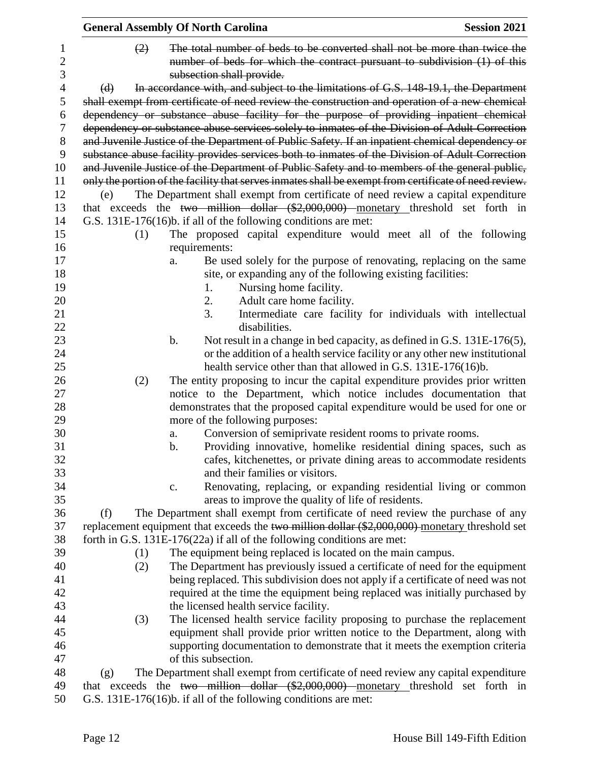|          | <b>General Assembly Of North Carolina</b>                                                                                                                                           | <b>Session 2021</b>                                                         |
|----------|-------------------------------------------------------------------------------------------------------------------------------------------------------------------------------------|-----------------------------------------------------------------------------|
| (2)      | The total number of beds to be converted shall not be more than twice the<br>number of beds for which the contract pursuant to subdivision (1) of this<br>subsection shall provide. |                                                                             |
| $\Theta$ | In accordance with, and subject to the limitations of G.S. 148-19.1, the Department                                                                                                 |                                                                             |
|          | shall exempt from certificate of need review the construction and operation of a new chemical                                                                                       |                                                                             |
|          | dependency or substance abuse facility for the purpose of providing inpatient chemical                                                                                              |                                                                             |
|          | dependency or substance abuse services solely to inmates of the Division of Adult Correction                                                                                        |                                                                             |
|          | and Juvenile Justice of the Department of Public Safety. If an inpatient chemical dependency or                                                                                     |                                                                             |
|          | substance abuse facility provides services both to inmates of the Division of Adult Correction                                                                                      |                                                                             |
|          | and Juvenile Justice of the Department of Public Safety and to members of the general public,                                                                                       |                                                                             |
|          | only the portion of the facility that serves inmates shall be exempt from certificate of need review.                                                                               |                                                                             |
| (e)      | The Department shall exempt from certificate of need review a capital expenditure                                                                                                   |                                                                             |
|          | that exceeds the two million dollar $(\$2,000,000)$ monetary threshold set forth in                                                                                                 |                                                                             |
|          | G.S. 131E-176(16)b. if all of the following conditions are met:                                                                                                                     |                                                                             |
| (1)      | The proposed capital expenditure would meet all of the following                                                                                                                    |                                                                             |
|          | requirements:                                                                                                                                                                       |                                                                             |
|          | a.                                                                                                                                                                                  | Be used solely for the purpose of renovating, replacing on the same         |
|          | site, or expanding any of the following existing facilities:                                                                                                                        |                                                                             |
|          | Nursing home facility.<br>1.                                                                                                                                                        |                                                                             |
|          | 2.<br>Adult care home facility.                                                                                                                                                     |                                                                             |
|          | 3.                                                                                                                                                                                  | Intermediate care facility for individuals with intellectual                |
|          | disabilities.                                                                                                                                                                       |                                                                             |
|          | $\mathbf b$ .                                                                                                                                                                       | Not result in a change in bed capacity, as defined in G.S. 131E-176(5),     |
|          |                                                                                                                                                                                     | or the addition of a health service facility or any other new institutional |
|          | health service other than that allowed in G.S. 131E-176(16)b.                                                                                                                       |                                                                             |
| (2)      | The entity proposing to incur the capital expenditure provides prior written                                                                                                        |                                                                             |
|          | notice to the Department, which notice includes documentation that                                                                                                                  |                                                                             |
|          | demonstrates that the proposed capital expenditure would be used for one or                                                                                                         |                                                                             |
|          | more of the following purposes:                                                                                                                                                     |                                                                             |
|          | Conversion of semiprivate resident rooms to private rooms.<br>a.                                                                                                                    |                                                                             |
|          | b.                                                                                                                                                                                  | Providing innovative, homelike residential dining spaces, such as           |
|          |                                                                                                                                                                                     | cafes, kitchenettes, or private dining areas to accommodate residents       |
|          | and their families or visitors.                                                                                                                                                     |                                                                             |
|          | c.                                                                                                                                                                                  | Renovating, replacing, or expanding residential living or common            |
|          | areas to improve the quality of life of residents.                                                                                                                                  |                                                                             |
| (f)      | The Department shall exempt from certificate of need review the purchase of any                                                                                                     |                                                                             |
|          | replacement equipment that exceeds the two million dollar (\$2,000,000) monetary threshold set                                                                                      |                                                                             |
|          | forth in G.S. 131E-176(22a) if all of the following conditions are met:                                                                                                             |                                                                             |
| (1)      | The equipment being replaced is located on the main campus.                                                                                                                         |                                                                             |
| (2)      | The Department has previously issued a certificate of need for the equipment                                                                                                        |                                                                             |
|          | being replaced. This subdivision does not apply if a certificate of need was not                                                                                                    |                                                                             |
|          | required at the time the equipment being replaced was initially purchased by                                                                                                        |                                                                             |
|          | the licensed health service facility.                                                                                                                                               |                                                                             |
| (3)      | The licensed health service facility proposing to purchase the replacement                                                                                                          |                                                                             |
|          | equipment shall provide prior written notice to the Department, along with                                                                                                          |                                                                             |
|          | supporting documentation to demonstrate that it meets the exemption criteria                                                                                                        |                                                                             |
|          | of this subsection.                                                                                                                                                                 |                                                                             |
| (g)      | The Department shall exempt from certificate of need review any capital expenditure                                                                                                 |                                                                             |
|          | that exceeds the two million dollar $(\$2,000,000)$ monetary threshold set forth in                                                                                                 |                                                                             |
|          | $C_S$ 121 $E$ 176(16) if all of the following conditions are mot                                                                                                                    |                                                                             |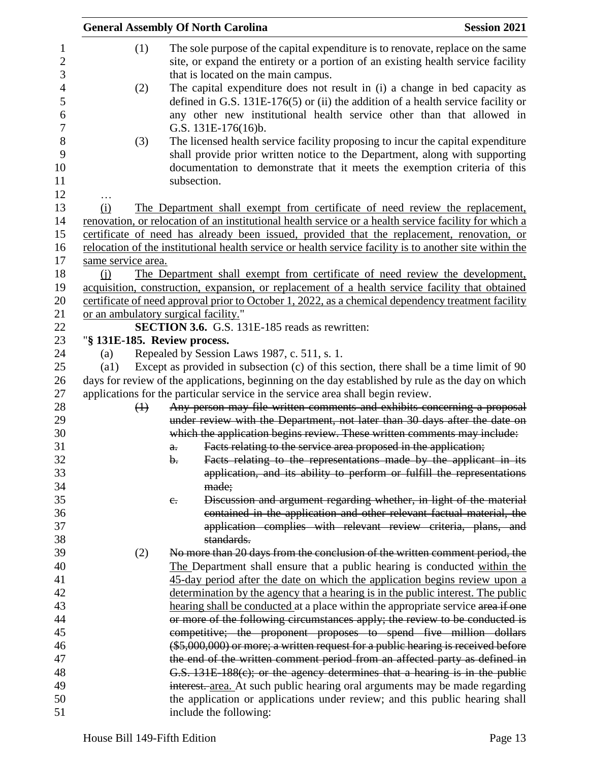|                              |             |                | <b>General Assembly Of North Carolina</b>                                                                                                                                                                                                                        | <b>Session 2021</b> |
|------------------------------|-------------|----------------|------------------------------------------------------------------------------------------------------------------------------------------------------------------------------------------------------------------------------------------------------------------|---------------------|
|                              | (1)         |                | The sole purpose of the capital expenditure is to renovate, replace on the same<br>site, or expand the entirety or a portion of an existing health service facility<br>that is located on the main campus.                                                       |                     |
|                              | (2)         |                | The capital expenditure does not result in (i) a change in bed capacity as<br>defined in G.S. $131E-176(5)$ or (ii) the addition of a health service facility or<br>any other new institutional health service other than that allowed in<br>G.S. 131E-176(16)b. |                     |
|                              | (3)         |                | The licensed health service facility proposing to incur the capital expenditure<br>shall provide prior written notice to the Department, along with supporting<br>documentation to demonstrate that it meets the exemption criteria of this<br>subsection.       |                     |
|                              |             |                |                                                                                                                                                                                                                                                                  |                     |
| (i)                          |             |                | The Department shall exempt from certificate of need review the replacement,                                                                                                                                                                                     |                     |
|                              |             |                | renovation, or relocation of an institutional health service or a health service facility for which a<br>certificate of need has already been issued, provided that the replacement, renovation, or                                                              |                     |
|                              |             |                | relocation of the institutional health service or health service facility is to another site within the                                                                                                                                                          |                     |
| same service area.           |             |                |                                                                                                                                                                                                                                                                  |                     |
| (i)                          |             |                | The Department shall exempt from certificate of need review the development,                                                                                                                                                                                     |                     |
|                              |             |                | acquisition, construction, expansion, or replacement of a health service facility that obtained                                                                                                                                                                  |                     |
|                              |             |                | certificate of need approval prior to October 1, 2022, as a chemical dependency treatment facility                                                                                                                                                               |                     |
|                              |             |                | or an ambulatory surgical facility."                                                                                                                                                                                                                             |                     |
|                              |             |                | <b>SECTION 3.6.</b> G.S. 131E-185 reads as rewritten:                                                                                                                                                                                                            |                     |
| "§ 131E-185. Review process. |             |                |                                                                                                                                                                                                                                                                  |                     |
| (a)                          |             |                | Repealed by Session Laws 1987, c. 511, s. 1.                                                                                                                                                                                                                     |                     |
| $\left( a1\right)$           |             |                | Except as provided in subsection (c) of this section, there shall be a time limit of 90                                                                                                                                                                          |                     |
|                              |             |                | days for review of the applications, beginning on the day established by rule as the day on which                                                                                                                                                                |                     |
|                              |             |                | applications for the particular service in the service area shall begin review.                                                                                                                                                                                  |                     |
|                              | $\bigoplus$ |                | Any person may file written comments and exhibits concerning a proposal                                                                                                                                                                                          |                     |
|                              |             |                | under review with the Department, not later than 30 days after the date on                                                                                                                                                                                       |                     |
|                              |             |                | which the application begins review. These written comments may include:                                                                                                                                                                                         |                     |
|                              |             | a.             | Facts relating to the service area proposed in the application;                                                                                                                                                                                                  |                     |
|                              |             | $\mathbf{b}$ . | Facts relating to the representations made by the applicant in its                                                                                                                                                                                               |                     |
|                              |             |                | application, and its ability to perform or fulfill the representations                                                                                                                                                                                           |                     |
|                              |             |                | made;                                                                                                                                                                                                                                                            |                     |
|                              |             | $e_{\cdot}$    | Discussion and argument regarding whether, in light of the material                                                                                                                                                                                              |                     |
|                              |             |                | contained in the application and other relevant factual material, the                                                                                                                                                                                            |                     |
|                              |             |                | application complies with relevant review criteria, plans, and                                                                                                                                                                                                   |                     |
|                              |             |                | standards.                                                                                                                                                                                                                                                       |                     |
|                              | (2)         |                | No more than 20 days from the conclusion of the written comment period, the                                                                                                                                                                                      |                     |
|                              |             |                | The Department shall ensure that a public hearing is conducted within the                                                                                                                                                                                        |                     |
|                              |             |                | 45-day period after the date on which the application begins review upon a                                                                                                                                                                                       |                     |
|                              |             |                | determination by the agency that a hearing is in the public interest. The public                                                                                                                                                                                 |                     |
|                              |             |                | hearing shall be conducted at a place within the appropriate service area if one                                                                                                                                                                                 |                     |
|                              |             |                | or more of the following circumstances apply; the review to be conducted is                                                                                                                                                                                      |                     |
|                              |             |                | competitive; the proponent proposes to spend five million dollars                                                                                                                                                                                                |                     |
|                              |             |                | $(*5,000,000)$ or more; a written request for a public hearing is received before                                                                                                                                                                                |                     |
|                              |             |                | the end of the written comment period from an affected party as defined in                                                                                                                                                                                       |                     |
|                              |             |                | G.S. $131E-188(c)$ ; or the agency determines that a hearing is in the public                                                                                                                                                                                    |                     |
|                              |             |                | interest. area. At such public hearing oral arguments may be made regarding                                                                                                                                                                                      |                     |
|                              |             |                | the application or applications under review; and this public hearing shall                                                                                                                                                                                      |                     |
|                              |             |                | include the following:                                                                                                                                                                                                                                           |                     |
|                              |             |                |                                                                                                                                                                                                                                                                  |                     |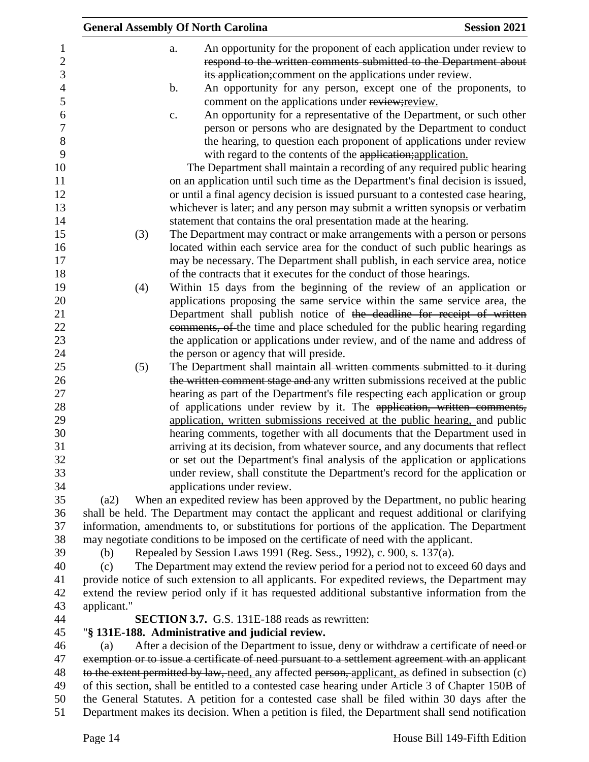|             | <b>General Assembly Of North Carolina</b>                                                                                                                                           | <b>Session 2021</b> |
|-------------|-------------------------------------------------------------------------------------------------------------------------------------------------------------------------------------|---------------------|
|             | An opportunity for the proponent of each application under review to<br>a.                                                                                                          |                     |
|             | respond to the written comments submitted to the Department about                                                                                                                   |                     |
|             | its application; comment on the applications under review.                                                                                                                          |                     |
|             | An opportunity for any person, except one of the proponents, to<br>b.                                                                                                               |                     |
|             | comment on the applications under review; review.                                                                                                                                   |                     |
|             | An opportunity for a representative of the Department, or such other<br>c.                                                                                                          |                     |
|             | person or persons who are designated by the Department to conduct                                                                                                                   |                     |
|             | the hearing, to question each proponent of applications under review                                                                                                                |                     |
|             | with regard to the contents of the application; application.                                                                                                                        |                     |
|             | The Department shall maintain a recording of any required public hearing                                                                                                            |                     |
|             | on an application until such time as the Department's final decision is issued,                                                                                                     |                     |
|             | or until a final agency decision is issued pursuant to a contested case hearing,                                                                                                    |                     |
|             | whichever is later; and any person may submit a written synopsis or verbatim                                                                                                        |                     |
|             | statement that contains the oral presentation made at the hearing.                                                                                                                  |                     |
| (3)         | The Department may contract or make arrangements with a person or persons                                                                                                           |                     |
|             | located within each service area for the conduct of such public hearings as                                                                                                         |                     |
|             | may be necessary. The Department shall publish, in each service area, notice                                                                                                        |                     |
|             | of the contracts that it executes for the conduct of those hearings.                                                                                                                |                     |
| (4)         | Within 15 days from the beginning of the review of an application or                                                                                                                |                     |
|             | applications proposing the same service within the same service area, the                                                                                                           |                     |
|             | Department shall publish notice of the deadline for receipt of written                                                                                                              |                     |
|             | comments, of the time and place scheduled for the public hearing regarding                                                                                                          |                     |
|             | the application or applications under review, and of the name and address of                                                                                                        |                     |
|             | the person or agency that will preside.                                                                                                                                             |                     |
| (5)         | The Department shall maintain all written comments submitted to it during                                                                                                           |                     |
|             | the written comment stage and any written submissions received at the public                                                                                                        |                     |
|             | hearing as part of the Department's file respecting each application or group                                                                                                       |                     |
|             | of applications under review by it. The application, written comments,                                                                                                              |                     |
|             | application, written submissions received at the public hearing, and public                                                                                                         |                     |
|             | hearing comments, together with all documents that the Department used in                                                                                                           |                     |
|             | arriving at its decision, from whatever source, and any documents that reflect                                                                                                      |                     |
|             | or set out the Department's final analysis of the application or applications                                                                                                       |                     |
|             | under review, shall constitute the Department's record for the application or                                                                                                       |                     |
|             | applications under review.                                                                                                                                                          |                     |
| (a2)        | When an expedited review has been approved by the Department, no public hearing                                                                                                     |                     |
|             | shall be held. The Department may contact the applicant and request additional or clarifying                                                                                        |                     |
|             | information, amendments to, or substitutions for portions of the application. The Department                                                                                        |                     |
|             | may negotiate conditions to be imposed on the certificate of need with the applicant.                                                                                               |                     |
| (b)         | Repealed by Session Laws 1991 (Reg. Sess., 1992), c. 900, s. 137(a).                                                                                                                |                     |
| (c)         | The Department may extend the review period for a period not to exceed 60 days and<br>provide notice of such extension to all applicants. For expedited reviews, the Department may |                     |
|             | extend the review period only if it has requested additional substantive information from the                                                                                       |                     |
| applicant." |                                                                                                                                                                                     |                     |
|             | <b>SECTION 3.7.</b> G.S. 131E-188 reads as rewritten:                                                                                                                               |                     |
|             | "§ 131E-188. Administrative and judicial review.                                                                                                                                    |                     |
| (a)         | After a decision of the Department to issue, deny or withdraw a certificate of need or                                                                                              |                     |
|             | exemption or to issue a certificate of need pursuant to a settlement agreement with an applicant                                                                                    |                     |
|             | to the extent permitted by law, need, any affected person, applicant, as defined in subsection (c)                                                                                  |                     |
|             | of this section, shall be entitled to a contested case hearing under Article 3 of Chapter 150B of                                                                                   |                     |
|             | the General Statutes. A petition for a contested case shall be filed within 30 days after the                                                                                       |                     |
|             | Department makes its decision. When a petition is filed, the Department shall send notification                                                                                     |                     |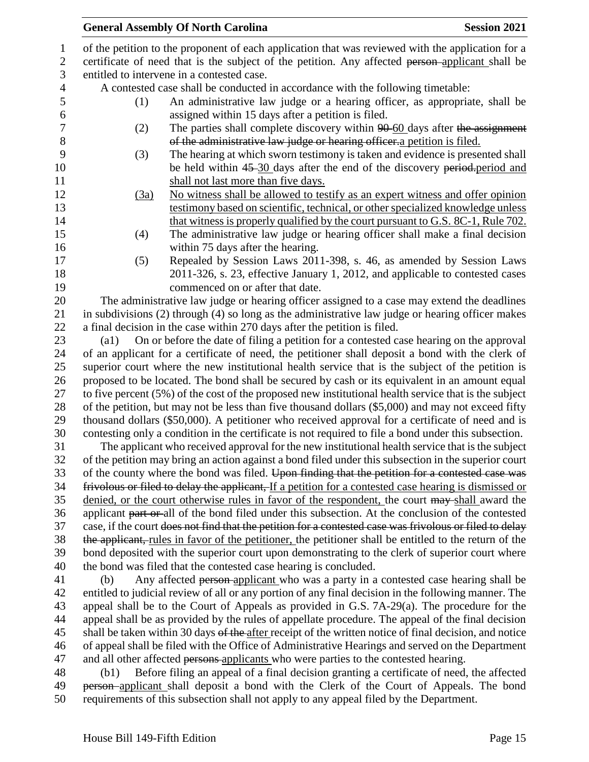| $\mathbf{1}$     |                                                                                                 | of the petition to the proponent of each application that was reviewed with the application for a       |  |  |  |
|------------------|-------------------------------------------------------------------------------------------------|---------------------------------------------------------------------------------------------------------|--|--|--|
| $\overline{2}$   | certificate of need that is the subject of the petition. Any affected person-applicant shall be |                                                                                                         |  |  |  |
| 3                | entitled to intervene in a contested case.                                                      |                                                                                                         |  |  |  |
| $\overline{4}$   |                                                                                                 | A contested case shall be conducted in accordance with the following timetable:                         |  |  |  |
| 5                | (1)                                                                                             | An administrative law judge or a hearing officer, as appropriate, shall be                              |  |  |  |
| $\boldsymbol{6}$ |                                                                                                 | assigned within 15 days after a petition is filed.                                                      |  |  |  |
| $\boldsymbol{7}$ | (2)                                                                                             | The parties shall complete discovery within 90-60 days after the assignment                             |  |  |  |
| 8                |                                                                                                 | of the administrative law judge or hearing officer a petition is filed.                                 |  |  |  |
| 9                | (3)                                                                                             | The hearing at which sworn testimony is taken and evidence is presented shall                           |  |  |  |
| 10               |                                                                                                 | be held within 45-30 days after the end of the discovery period-period and                              |  |  |  |
| 11               |                                                                                                 | shall not last more than five days.                                                                     |  |  |  |
| 12               | (3a)                                                                                            | No witness shall be allowed to testify as an expert witness and offer opinion                           |  |  |  |
| 13               |                                                                                                 | testimony based on scientific, technical, or other specialized knowledge unless                         |  |  |  |
| 14               |                                                                                                 | that witness is properly qualified by the court pursuant to G.S. 8C-1, Rule 702.                        |  |  |  |
| 15               | (4)                                                                                             | The administrative law judge or hearing officer shall make a final decision                             |  |  |  |
| 16               |                                                                                                 | within 75 days after the hearing.                                                                       |  |  |  |
| 17               | (5)                                                                                             | Repealed by Session Laws 2011-398, s. 46, as amended by Session Laws                                    |  |  |  |
| 18               |                                                                                                 | 2011-326, s. 23, effective January 1, 2012, and applicable to contested cases                           |  |  |  |
| 19               |                                                                                                 | commenced on or after that date.                                                                        |  |  |  |
| 20               |                                                                                                 | The administrative law judge or hearing officer assigned to a case may extend the deadlines             |  |  |  |
| 21               |                                                                                                 | in subdivisions (2) through (4) so long as the administrative law judge or hearing officer makes        |  |  |  |
| 22               |                                                                                                 | a final decision in the case within 270 days after the petition is filed.                               |  |  |  |
| 23               | $\left( a1\right)$                                                                              | On or before the date of filing a petition for a contested case hearing on the approval                 |  |  |  |
| 24               |                                                                                                 | of an applicant for a certificate of need, the petitioner shall deposit a bond with the clerk of        |  |  |  |
| 25               |                                                                                                 | superior court where the new institutional health service that is the subject of the petition is        |  |  |  |
| 26               |                                                                                                 | proposed to be located. The bond shall be secured by cash or its equivalent in an amount equal          |  |  |  |
| 27               |                                                                                                 | to five percent (5%) of the cost of the proposed new institutional health service that is the subject   |  |  |  |
| 28               |                                                                                                 | of the petition, but may not be less than five thousand dollars (\$5,000) and may not exceed fifty      |  |  |  |
| 29               |                                                                                                 | thousand dollars (\$50,000). A petitioner who received approval for a certificate of need and is        |  |  |  |
| 30               |                                                                                                 | contesting only a condition in the certificate is not required to file a bond under this subsection.    |  |  |  |
| 31               |                                                                                                 | The applicant who received approval for the new institutional health service that is the subject        |  |  |  |
| 32               |                                                                                                 | of the petition may bring an action against a bond filed under this subsection in the superior court    |  |  |  |
| 33               |                                                                                                 | of the county where the bond was filed. Upon finding that the petition for a contested case was         |  |  |  |
| 34               |                                                                                                 | frivolous or filed to delay the applicant, If a petition for a contested case hearing is dismissed or   |  |  |  |
| 35               |                                                                                                 | denied, or the court otherwise rules in favor of the respondent, the court may shall award the          |  |  |  |
| 36               |                                                                                                 | applicant part or all of the bond filed under this subsection. At the conclusion of the contested       |  |  |  |
| 37               |                                                                                                 | case, if the court does not find that the petition for a contested case was frivolous or filed to delay |  |  |  |
| 38               |                                                                                                 | the applicant, rules in favor of the petitioner, the petitioner shall be entitled to the return of the  |  |  |  |
| 39               |                                                                                                 | bond deposited with the superior court upon demonstrating to the clerk of superior court where          |  |  |  |
| 40               |                                                                                                 | the bond was filed that the contested case hearing is concluded.                                        |  |  |  |
| 41               | (b)                                                                                             | Any affected person-applicant who was a party in a contested case hearing shall be                      |  |  |  |
| 42               |                                                                                                 | entitled to judicial review of all or any portion of any final decision in the following manner. The    |  |  |  |
| 43               |                                                                                                 | appeal shall be to the Court of Appeals as provided in G.S. 7A-29(a). The procedure for the             |  |  |  |
| 44               |                                                                                                 | appeal shall be as provided by the rules of appellate procedure. The appeal of the final decision       |  |  |  |
| 45               |                                                                                                 | shall be taken within 30 days of the after receipt of the written notice of final decision, and notice  |  |  |  |
| 46               |                                                                                                 | of appeal shall be filed with the Office of Administrative Hearings and served on the Department        |  |  |  |
| 47               |                                                                                                 | and all other affected persons applicants who were parties to the contested hearing.                    |  |  |  |
| 48               | (b1)                                                                                            | Before filing an appeal of a final decision granting a certificate of need, the affected                |  |  |  |
| 49               |                                                                                                 | person-applicant shall deposit a bond with the Clerk of the Court of Appeals. The bond                  |  |  |  |
|                  |                                                                                                 |                                                                                                         |  |  |  |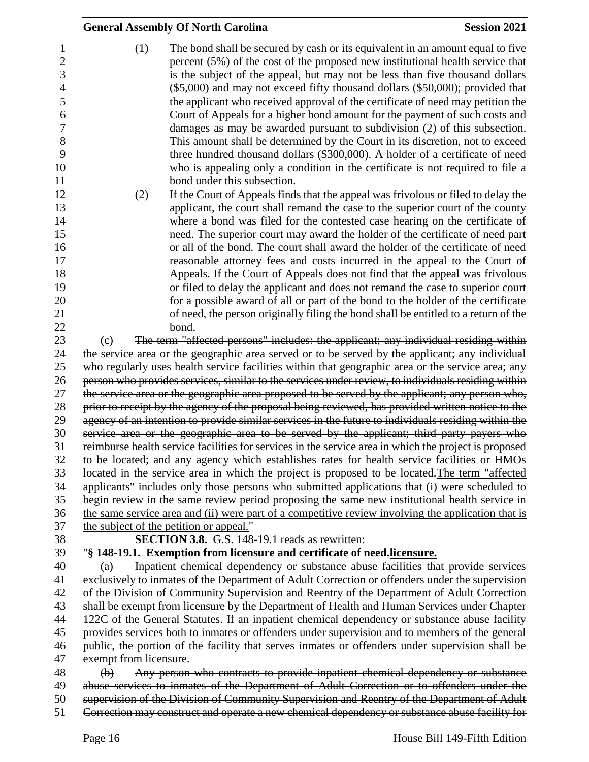|                        | <b>General Assembly Of North Carolina</b>                                                                                                                                                                                                                                                                                                                                                                                                                                                                                                                                                                                                                                                                                                                                                                                                                                                                                                                                                                                                                                                                                                                                                                                                                                                                                                                                                                                                                       | <b>Session 2021</b> |
|------------------------|-----------------------------------------------------------------------------------------------------------------------------------------------------------------------------------------------------------------------------------------------------------------------------------------------------------------------------------------------------------------------------------------------------------------------------------------------------------------------------------------------------------------------------------------------------------------------------------------------------------------------------------------------------------------------------------------------------------------------------------------------------------------------------------------------------------------------------------------------------------------------------------------------------------------------------------------------------------------------------------------------------------------------------------------------------------------------------------------------------------------------------------------------------------------------------------------------------------------------------------------------------------------------------------------------------------------------------------------------------------------------------------------------------------------------------------------------------------------|---------------------|
| (1)<br>(2)             | The bond shall be secured by cash or its equivalent in an amount equal to five<br>percent (5%) of the cost of the proposed new institutional health service that<br>is the subject of the appeal, but may not be less than five thousand dollars<br>$(\$5,000)$ and may not exceed fifty thousand dollars $(\$50,000)$ ; provided that<br>the applicant who received approval of the certificate of need may petition the<br>Court of Appeals for a higher bond amount for the payment of such costs and<br>damages as may be awarded pursuant to subdivision (2) of this subsection.<br>This amount shall be determined by the Court in its discretion, not to exceed<br>three hundred thousand dollars (\$300,000). A holder of a certificate of need<br>who is appealing only a condition in the certificate is not required to file a<br>bond under this subsection.<br>If the Court of Appeals finds that the appeal was frivolous or filed to delay the<br>applicant, the court shall remand the case to the superior court of the county<br>where a bond was filed for the contested case hearing on the certificate of<br>need. The superior court may award the holder of the certificate of need part<br>or all of the bond. The court shall award the holder of the certificate of need<br>reasonable attorney fees and costs incurred in the appeal to the Court of<br>Appeals. If the Court of Appeals does not find that the appeal was frivolous |                     |
|                        | or filed to delay the applicant and does not remand the case to superior court                                                                                                                                                                                                                                                                                                                                                                                                                                                                                                                                                                                                                                                                                                                                                                                                                                                                                                                                                                                                                                                                                                                                                                                                                                                                                                                                                                                  |                     |
|                        | for a possible award of all or part of the bond to the holder of the certificate                                                                                                                                                                                                                                                                                                                                                                                                                                                                                                                                                                                                                                                                                                                                                                                                                                                                                                                                                                                                                                                                                                                                                                                                                                                                                                                                                                                |                     |
|                        | of need, the person originally filing the bond shall be entitled to a return of the<br>bond.                                                                                                                                                                                                                                                                                                                                                                                                                                                                                                                                                                                                                                                                                                                                                                                                                                                                                                                                                                                                                                                                                                                                                                                                                                                                                                                                                                    |                     |
| (c)                    | The term "affected persons" includes: the applicant; any individual residing within                                                                                                                                                                                                                                                                                                                                                                                                                                                                                                                                                                                                                                                                                                                                                                                                                                                                                                                                                                                                                                                                                                                                                                                                                                                                                                                                                                             |                     |
|                        | the service area or the geographic area served or to be served by the applicant; any individual                                                                                                                                                                                                                                                                                                                                                                                                                                                                                                                                                                                                                                                                                                                                                                                                                                                                                                                                                                                                                                                                                                                                                                                                                                                                                                                                                                 |                     |
|                        | who regularly uses health service facilities within that geographic area or the service area; any                                                                                                                                                                                                                                                                                                                                                                                                                                                                                                                                                                                                                                                                                                                                                                                                                                                                                                                                                                                                                                                                                                                                                                                                                                                                                                                                                               |                     |
|                        | person who provides services, similar to the services under review, to individuals residing within                                                                                                                                                                                                                                                                                                                                                                                                                                                                                                                                                                                                                                                                                                                                                                                                                                                                                                                                                                                                                                                                                                                                                                                                                                                                                                                                                              |                     |
|                        | the service area or the geographic area proposed to be served by the applicant; any person who,                                                                                                                                                                                                                                                                                                                                                                                                                                                                                                                                                                                                                                                                                                                                                                                                                                                                                                                                                                                                                                                                                                                                                                                                                                                                                                                                                                 |                     |
|                        | prior to receipt by the agency of the proposal being reviewed, has provided written notice to the<br>agency of an intention to provide similar services in the future to individuals residing within the                                                                                                                                                                                                                                                                                                                                                                                                                                                                                                                                                                                                                                                                                                                                                                                                                                                                                                                                                                                                                                                                                                                                                                                                                                                        |                     |
|                        | service area or the geographic area to be served by the applicant; third party payers who                                                                                                                                                                                                                                                                                                                                                                                                                                                                                                                                                                                                                                                                                                                                                                                                                                                                                                                                                                                                                                                                                                                                                                                                                                                                                                                                                                       |                     |
|                        | reimburse health service facilities for services in the service area in which the project is proposed                                                                                                                                                                                                                                                                                                                                                                                                                                                                                                                                                                                                                                                                                                                                                                                                                                                                                                                                                                                                                                                                                                                                                                                                                                                                                                                                                           |                     |
|                        | to be located; and any agency which establishes rates for health service facilities or HMOs                                                                                                                                                                                                                                                                                                                                                                                                                                                                                                                                                                                                                                                                                                                                                                                                                                                                                                                                                                                                                                                                                                                                                                                                                                                                                                                                                                     |                     |
|                        | located in the service area in which the project is proposed to be located. The term "affected                                                                                                                                                                                                                                                                                                                                                                                                                                                                                                                                                                                                                                                                                                                                                                                                                                                                                                                                                                                                                                                                                                                                                                                                                                                                                                                                                                  |                     |
|                        | applicants" includes only those persons who submitted applications that (i) were scheduled to                                                                                                                                                                                                                                                                                                                                                                                                                                                                                                                                                                                                                                                                                                                                                                                                                                                                                                                                                                                                                                                                                                                                                                                                                                                                                                                                                                   |                     |
|                        | begin review in the same review period proposing the same new institutional health service in                                                                                                                                                                                                                                                                                                                                                                                                                                                                                                                                                                                                                                                                                                                                                                                                                                                                                                                                                                                                                                                                                                                                                                                                                                                                                                                                                                   |                     |
|                        | the same service area and (ii) were part of a competitive review involving the application that is                                                                                                                                                                                                                                                                                                                                                                                                                                                                                                                                                                                                                                                                                                                                                                                                                                                                                                                                                                                                                                                                                                                                                                                                                                                                                                                                                              |                     |
|                        | the subject of the petition or appeal."                                                                                                                                                                                                                                                                                                                                                                                                                                                                                                                                                                                                                                                                                                                                                                                                                                                                                                                                                                                                                                                                                                                                                                                                                                                                                                                                                                                                                         |                     |
|                        | <b>SECTION 3.8.</b> G.S. 148-19.1 reads as rewritten:<br>"§ 148-19.1. Exemption from licensure and certificate of need-licensure.                                                                                                                                                                                                                                                                                                                                                                                                                                                                                                                                                                                                                                                                                                                                                                                                                                                                                                                                                                                                                                                                                                                                                                                                                                                                                                                               |                     |
| (a)                    | Inpatient chemical dependency or substance abuse facilities that provide services                                                                                                                                                                                                                                                                                                                                                                                                                                                                                                                                                                                                                                                                                                                                                                                                                                                                                                                                                                                                                                                                                                                                                                                                                                                                                                                                                                               |                     |
|                        | exclusively to inmates of the Department of Adult Correction or offenders under the supervision                                                                                                                                                                                                                                                                                                                                                                                                                                                                                                                                                                                                                                                                                                                                                                                                                                                                                                                                                                                                                                                                                                                                                                                                                                                                                                                                                                 |                     |
|                        | of the Division of Community Supervision and Reentry of the Department of Adult Correction                                                                                                                                                                                                                                                                                                                                                                                                                                                                                                                                                                                                                                                                                                                                                                                                                                                                                                                                                                                                                                                                                                                                                                                                                                                                                                                                                                      |                     |
|                        | shall be exempt from licensure by the Department of Health and Human Services under Chapter                                                                                                                                                                                                                                                                                                                                                                                                                                                                                                                                                                                                                                                                                                                                                                                                                                                                                                                                                                                                                                                                                                                                                                                                                                                                                                                                                                     |                     |
|                        | 122C of the General Statutes. If an inpatient chemical dependency or substance abuse facility                                                                                                                                                                                                                                                                                                                                                                                                                                                                                                                                                                                                                                                                                                                                                                                                                                                                                                                                                                                                                                                                                                                                                                                                                                                                                                                                                                   |                     |
|                        | provides services both to inmates or offenders under supervision and to members of the general                                                                                                                                                                                                                                                                                                                                                                                                                                                                                                                                                                                                                                                                                                                                                                                                                                                                                                                                                                                                                                                                                                                                                                                                                                                                                                                                                                  |                     |
|                        | public, the portion of the facility that serves inmates or offenders under supervision shall be                                                                                                                                                                                                                                                                                                                                                                                                                                                                                                                                                                                                                                                                                                                                                                                                                                                                                                                                                                                                                                                                                                                                                                                                                                                                                                                                                                 |                     |
| exempt from licensure. |                                                                                                                                                                                                                                                                                                                                                                                                                                                                                                                                                                                                                                                                                                                                                                                                                                                                                                                                                                                                                                                                                                                                                                                                                                                                                                                                                                                                                                                                 |                     |
| $\bigoplus$            | Any person who contracts to provide inpatient chemical dependency or substance                                                                                                                                                                                                                                                                                                                                                                                                                                                                                                                                                                                                                                                                                                                                                                                                                                                                                                                                                                                                                                                                                                                                                                                                                                                                                                                                                                                  |                     |
|                        | abuse services to inmates of the Department of Adult Correction or to offenders under the                                                                                                                                                                                                                                                                                                                                                                                                                                                                                                                                                                                                                                                                                                                                                                                                                                                                                                                                                                                                                                                                                                                                                                                                                                                                                                                                                                       |                     |

50 supervision of the Division of Community Supervision and Reentry of the Department of Adult 51 Correction may construct and operate a new chemical dependency or substance abuse facility for

Correction may construct and operate a new chemical dependency or substance abuse facility for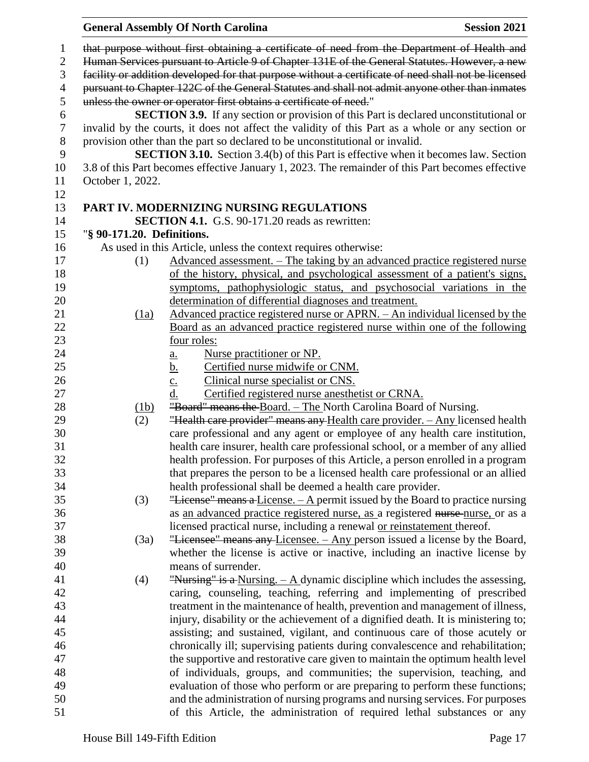|                |                                                                                                     | <b>General Assembly Of North Carolina</b><br><b>Session 2021</b>                                                                                                 |  |  |  |  |
|----------------|-----------------------------------------------------------------------------------------------------|------------------------------------------------------------------------------------------------------------------------------------------------------------------|--|--|--|--|
| $\mathbf{1}$   |                                                                                                     | that purpose without first obtaining a certificate of need from the Department of Health and                                                                     |  |  |  |  |
| $\mathbf{2}$   | Human Services pursuant to Article 9 of Chapter 131E of the General Statutes. However, a new        |                                                                                                                                                                  |  |  |  |  |
| 3              | facility or addition developed for that purpose without a certificate of need shall not be licensed |                                                                                                                                                                  |  |  |  |  |
| $\overline{4}$ | pursuant to Chapter 122C of the General Statutes and shall not admit anyone other than inmates      |                                                                                                                                                                  |  |  |  |  |
| 5              | unless the owner or operator first obtains a certificate of need."                                  |                                                                                                                                                                  |  |  |  |  |
| 6              | <b>SECTION 3.9.</b> If any section or provision of this Part is declared unconstitutional or        |                                                                                                                                                                  |  |  |  |  |
| $\tau$         | invalid by the courts, it does not affect the validity of this Part as a whole or any section or    |                                                                                                                                                                  |  |  |  |  |
| 8              | provision other than the part so declared to be unconstitutional or invalid.                        |                                                                                                                                                                  |  |  |  |  |
| 9              |                                                                                                     | <b>SECTION 3.10.</b> Section 3.4(b) of this Part is effective when it becomes law. Section                                                                       |  |  |  |  |
| 10             |                                                                                                     | 3.8 of this Part becomes effective January 1, 2023. The remainder of this Part becomes effective                                                                 |  |  |  |  |
| 11             | October 1, 2022.                                                                                    |                                                                                                                                                                  |  |  |  |  |
| 12             |                                                                                                     |                                                                                                                                                                  |  |  |  |  |
| 13             |                                                                                                     | PART IV. MODERNIZING NURSING REGULATIONS                                                                                                                         |  |  |  |  |
| 14             |                                                                                                     | <b>SECTION 4.1.</b> G.S. 90-171.20 reads as rewritten:                                                                                                           |  |  |  |  |
| 15             | "§ 90-171.20. Definitions.                                                                          |                                                                                                                                                                  |  |  |  |  |
| 16             |                                                                                                     | As used in this Article, unless the context requires otherwise:                                                                                                  |  |  |  |  |
| 17             | (1)                                                                                                 | Advanced assessment. - The taking by an advanced practice registered nurse                                                                                       |  |  |  |  |
| 18             |                                                                                                     | of the history, physical, and psychological assessment of a patient's signs,                                                                                     |  |  |  |  |
| 19             |                                                                                                     | symptoms, pathophysiologic status, and psychosocial variations in the                                                                                            |  |  |  |  |
| 20             |                                                                                                     | determination of differential diagnoses and treatment.                                                                                                           |  |  |  |  |
| 21             | $\frac{(1a)}{2}$                                                                                    | Advanced practice registered nurse or APRN. – An individual licensed by the                                                                                      |  |  |  |  |
| 22             |                                                                                                     | Board as an advanced practice registered nurse within one of the following                                                                                       |  |  |  |  |
| 23             |                                                                                                     | four roles:                                                                                                                                                      |  |  |  |  |
| 24             |                                                                                                     | Nurse practitioner or NP.<br><u>a.</u>                                                                                                                           |  |  |  |  |
| 25             |                                                                                                     | Certified nurse midwife or CNM.<br><u>b.</u>                                                                                                                     |  |  |  |  |
| 26             |                                                                                                     | Clinical nurse specialist or CNS.<br>$\underline{c}$ .                                                                                                           |  |  |  |  |
| 27             |                                                                                                     | d.<br>Certified registered nurse anesthetist or CRNA.                                                                                                            |  |  |  |  |
| 28             | (1b)                                                                                                | "Board" means the Board. – The North Carolina Board of Nursing.                                                                                                  |  |  |  |  |
| 29             | (2)                                                                                                 | "Health care provider" means any Health care provider. - Any licensed health                                                                                     |  |  |  |  |
| 30             |                                                                                                     | care professional and any agent or employee of any health care institution,                                                                                      |  |  |  |  |
| 31             |                                                                                                     | health care insurer, health care professional school, or a member of any allied                                                                                  |  |  |  |  |
| 32             |                                                                                                     | health profession. For purposes of this Article, a person enrolled in a program                                                                                  |  |  |  |  |
| 33             |                                                                                                     | that prepares the person to be a licensed health care professional or an allied                                                                                  |  |  |  |  |
| 34             |                                                                                                     | health professional shall be deemed a health care provider.                                                                                                      |  |  |  |  |
| 35             | (3)                                                                                                 | "License" means a License. $-$ A permit issued by the Board to practice nursing                                                                                  |  |  |  |  |
| 36             |                                                                                                     | as an advanced practice registered nurse, as a registered nurse-nurse, or as a                                                                                   |  |  |  |  |
| 37             |                                                                                                     | licensed practical nurse, including a renewal or reinstatement thereof.                                                                                          |  |  |  |  |
| 38             | (3a)                                                                                                | "Licensee" means any Licensee. - Any person issued a license by the Board,                                                                                       |  |  |  |  |
| 39             |                                                                                                     | whether the license is active or inactive, including an inactive license by                                                                                      |  |  |  |  |
| 40             |                                                                                                     | means of surrender.                                                                                                                                              |  |  |  |  |
| 41             | (4)                                                                                                 | "Nursing" is a Nursing. $-\underline{A}$ dynamic discipline which includes the assessing,                                                                        |  |  |  |  |
| 42             |                                                                                                     | caring, counseling, teaching, referring and implementing of prescribed                                                                                           |  |  |  |  |
| 43             |                                                                                                     | treatment in the maintenance of health, prevention and management of illness,                                                                                    |  |  |  |  |
| 44<br>45       |                                                                                                     | injury, disability or the achievement of a dignified death. It is ministering to;                                                                                |  |  |  |  |
|                |                                                                                                     | assisting; and sustained, vigilant, and continuous care of those acutely or                                                                                      |  |  |  |  |
| 46<br>47       |                                                                                                     | chronically ill; supervising patients during convalescence and rehabilitation;<br>the supportive and restorative care given to maintain the optimum health level |  |  |  |  |
| 48             |                                                                                                     | of individuals, groups, and communities; the supervision, teaching, and                                                                                          |  |  |  |  |
| 49             |                                                                                                     | evaluation of those who perform or are preparing to perform these functions;                                                                                     |  |  |  |  |
| 50             |                                                                                                     | and the administration of nursing programs and nursing services. For purposes                                                                                    |  |  |  |  |
| 51             |                                                                                                     | of this Article, the administration of required lethal substances or any                                                                                         |  |  |  |  |
|                |                                                                                                     |                                                                                                                                                                  |  |  |  |  |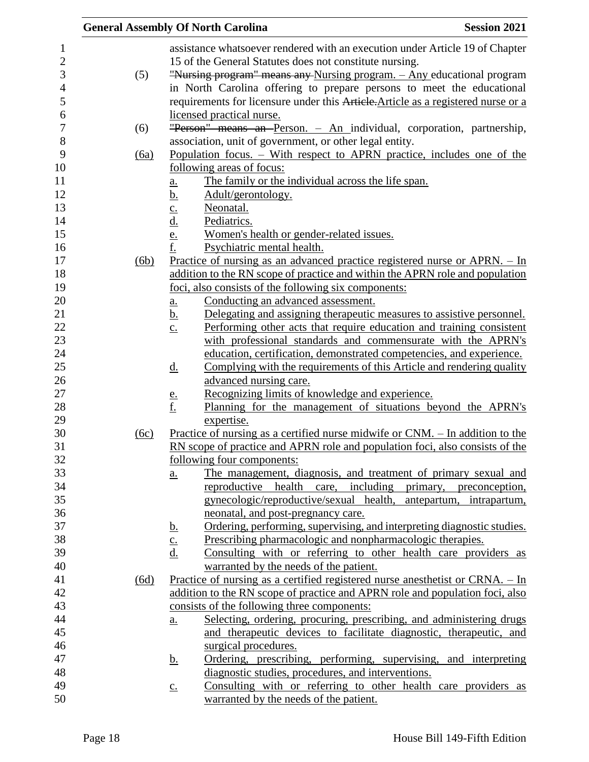|      | <b>General Assembly Of North Carolina</b>                                                              | <b>Session 2021</b>      |
|------|--------------------------------------------------------------------------------------------------------|--------------------------|
|      | assistance whatsoever rendered with an execution under Article 19 of Chapter                           |                          |
|      | 15 of the General Statutes does not constitute nursing.                                                |                          |
| (5)  | "Nursing program" means any Nursing program. - Any educational program                                 |                          |
|      | in North Carolina offering to prepare persons to meet the educational                                  |                          |
|      | requirements for licensure under this Article. Article as a registered nurse or a                      |                          |
|      | licensed practical nurse.                                                                              |                          |
| (6)  | "Person" means an Person. - An individual, corporation, partnership,                                   |                          |
|      | association, unit of government, or other legal entity.                                                |                          |
| (6a) | Population focus. – With respect to APRN practice, includes one of the                                 |                          |
|      | following areas of focus:                                                                              |                          |
|      | The family or the individual across the life span.<br><u>a.</u>                                        |                          |
|      | <u>b.</u><br>Adult/gerontology.                                                                        |                          |
|      | Neonatal.<br>$\underline{\mathbf{C}}$ .                                                                |                          |
|      | <u>d.</u><br>Pediatrics.                                                                               |                          |
|      | $\frac{e}{f}$<br>Women's health or gender-related issues.                                              |                          |
|      | Psychiatric mental health.                                                                             |                          |
| (6b) | Practice of nursing as an advanced practice registered nurse or $APRN. - In$                           |                          |
|      | addition to the RN scope of practice and within the APRN role and population                           |                          |
|      | foci, also consists of the following six components:                                                   |                          |
|      | Conducting an advanced assessment.<br>a.                                                               |                          |
|      | Delegating and assigning therapeutic measures to assistive personnel.<br><u>b.</u>                     |                          |
|      | Performing other acts that require education and training consistent<br>$\underline{c}$ .              |                          |
|      | with professional standards and commensurate with the APRN's                                           |                          |
|      | education, certification, demonstrated competencies, and experience.                                   |                          |
|      | Complying with the requirements of this Article and rendering quality<br><u>d.</u>                     |                          |
|      | advanced nursing care.                                                                                 |                          |
|      | Recognizing limits of knowledge and experience.<br>$\frac{e}{f}$                                       |                          |
|      | Planning for the management of situations beyond the APRN's                                            |                          |
|      | expertise.                                                                                             |                          |
| (6c) | <u>Practice of nursing as a certified nurse midwife or CNM. – In addition to the</u>                   |                          |
|      | RN scope of practice and APRN role and population foci, also consists of the                           |                          |
|      | following four components:                                                                             |                          |
|      | The management, diagnosis, and treatment of primary sexual and<br>$\underline{\mathbf{a}}$ .           |                          |
|      | reproductive health care, including primary, preconception,<br>gynecologic/reproductive/sexual health, | antepartum, intrapartum, |
|      | neonatal, and post-pregnancy care.                                                                     |                          |
|      | Ordering, performing, supervising, and interpreting diagnostic studies.                                |                          |
|      | <u>b.</u><br>Prescribing pharmacologic and nonpharmacologic therapies.<br>$\underline{c}$ .            |                          |
|      | Consulting with or referring to other health care providers as<br>$\underline{d}$ .                    |                          |
|      | warranted by the needs of the patient.                                                                 |                          |
| (6d) | Practice of nursing as a certified registered nurse anesthetist or CRNA. $-$ In                        |                          |
|      | addition to the RN scope of practice and APRN role and population foci, also                           |                          |
|      | consists of the following three components:                                                            |                          |
|      | Selecting, ordering, procuring, prescribing, and administering drugs<br>$a_{\cdot}$                    |                          |
|      | and therapeutic devices to facilitate diagnostic, therapeutic, and                                     |                          |
|      | surgical procedures.                                                                                   |                          |
|      | Ordering, prescribing, performing, supervising, and interpreting<br><u>b.</u>                          |                          |
|      | diagnostic studies, procedures, and interventions.                                                     |                          |
|      | Consulting with or referring to other health care providers as<br>$\underline{c}$ .                    |                          |
|      | warranted by the needs of the patient.                                                                 |                          |
|      |                                                                                                        |                          |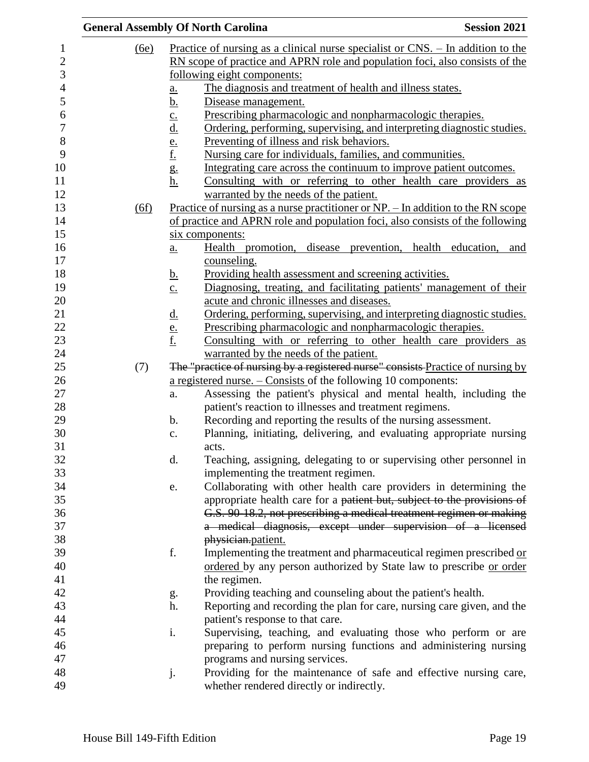|                  |      | <b>General Assembly Of North Carolina</b>                                                                | <b>Session 2021</b> |
|------------------|------|----------------------------------------------------------------------------------------------------------|---------------------|
| 1                | (6e) | Practice of nursing as a clinical nurse specialist or $CNS$ . - In addition to the                       |                     |
| $\boldsymbol{2}$ |      | RN scope of practice and APRN role and population foci, also consists of the                             |                     |
| 3                |      | following eight components:                                                                              |                     |
| $\overline{4}$   |      | The diagnosis and treatment of health and illness states.<br>a.                                          |                     |
| 5                |      | <u>b.</u><br>Disease management.                                                                         |                     |
| 6                |      | Prescribing pharmacologic and nonpharmacologic therapies.                                                |                     |
| $\boldsymbol{7}$ |      | Ordering, performing, supervising, and interpreting diagnostic studies.                                  |                     |
| $8\,$            |      | Preventing of illness and risk behaviors.                                                                |                     |
| 9                |      | $rac{\underline{c}}{\underline{d}}$ .<br>$rac{\underline{e}}{\underline{f}}$ .                           |                     |
| 10               |      | Nursing care for individuals, families, and communities.                                                 |                     |
|                  |      | g.<br>h.<br>Integrating care across the continuum to improve patient outcomes.                           |                     |
| 11               |      | Consulting with or referring to other health care providers as                                           |                     |
| 12               |      | warranted by the needs of the patient.                                                                   |                     |
| 13               | (6f) | <u>Practice of nursing as a nurse practitioner or NP. – In addition to the RN scope</u>                  |                     |
| 14               |      | of practice and APRN role and population foci, also consists of the following                            |                     |
| 15               |      | six components:                                                                                          |                     |
| 16               |      | Health promotion, disease prevention, health education, and<br><u>a.</u>                                 |                     |
| 17               |      | counseling.                                                                                              |                     |
| 18               |      | Providing health assessment and screening activities.<br><u>b.</u>                                       |                     |
| 19               |      | Diagnosing, treating, and facilitating patients' management of their<br>$\underline{c}$ .                |                     |
| 20               |      | acute and chronic illnesses and diseases.                                                                |                     |
| 21               |      | Ordering, performing, supervising, and interpreting diagnostic studies.                                  |                     |
| $22\,$           |      | $rac{\underline{d}}{\underline{e}}$ .<br>f.<br>Prescribing pharmacologic and nonpharmacologic therapies. |                     |
| 23               |      | Consulting with or referring to other health care providers as                                           |                     |
| 24               |      | warranted by the needs of the patient.                                                                   |                     |
| 25               | (7)  | The "practice of nursing by a registered nurse" consists Practice of nursing by                          |                     |
| 26               |      | a registered nurse. $-$ Consists of the following 10 components:                                         |                     |
| 27               |      | Assessing the patient's physical and mental health, including the<br>a.                                  |                     |
| 28               |      | patient's reaction to illnesses and treatment regimens.                                                  |                     |
| 29               |      | Recording and reporting the results of the nursing assessment.<br>$\mathbf{b}$ .                         |                     |
| 30               |      | Planning, initiating, delivering, and evaluating appropriate nursing<br>c.                               |                     |
|                  |      | acts.                                                                                                    |                     |
|                  |      | Teaching, assigning, delegating to or supervising other personnel in<br>d.                               |                     |
| 32<br>33         |      | implementing the treatment regimen.                                                                      |                     |
| 34               |      | Collaborating with other health care providers in determining the<br>e.                                  |                     |
| 35               |      | appropriate health care for a patient but, subject to the provisions of                                  |                     |
| 36               |      | G.S. 90-18.2, not prescribing a medical treatment regimen or making                                      |                     |
| 37               |      | a medical diagnosis, except under supervision of a licensed                                              |                     |
| 38               |      | physician.patient.                                                                                       |                     |
|                  |      | f.<br>Implementing the treatment and pharmaceutical regimen prescribed or                                |                     |
| 39               |      |                                                                                                          |                     |
| 40               |      | ordered by any person authorized by State law to prescribe or order                                      |                     |
| 41<br>42         |      | the regimen.                                                                                             |                     |
| 43               |      | Providing teaching and counseling about the patient's health.<br>g.                                      |                     |
|                  |      | h.<br>Reporting and recording the plan for care, nursing care given, and the                             |                     |
| 44<br>45         |      | patient's response to that care.                                                                         |                     |
|                  |      | Supervising, teaching, and evaluating those who perform or are<br>i.                                     |                     |
| 46               |      | preparing to perform nursing functions and administering nursing                                         |                     |
| 47               |      | programs and nursing services.                                                                           |                     |
| 48               |      | Providing for the maintenance of safe and effective nursing care,<br>j.                                  |                     |
| 49               |      | whether rendered directly or indirectly.                                                                 |                     |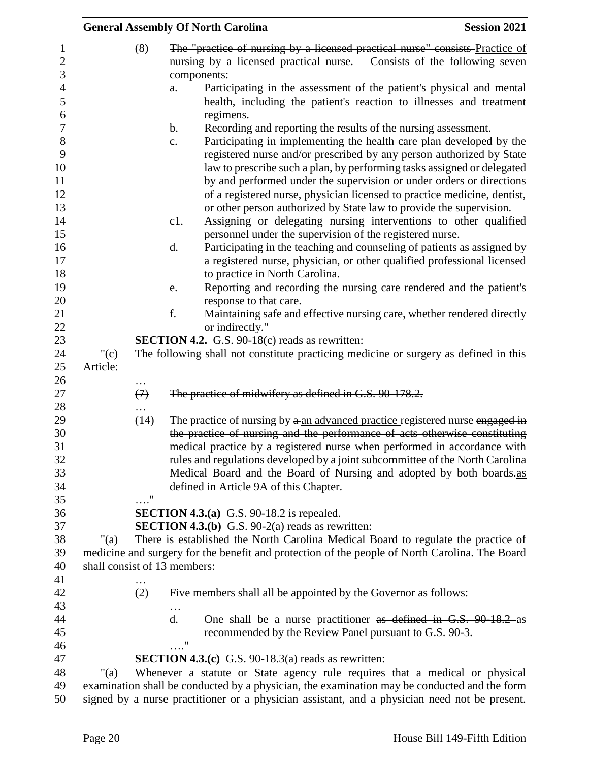|                  |                        | <b>General Assembly Of North Carolina</b>                                                                                                                                                                                                                                                                                                                                                                                                                                                                                                                                                                                                                                                                                                                                                                                                                                                                                                                                                                                                                                                                 | <b>Session 2021</b> |
|------------------|------------------------|-----------------------------------------------------------------------------------------------------------------------------------------------------------------------------------------------------------------------------------------------------------------------------------------------------------------------------------------------------------------------------------------------------------------------------------------------------------------------------------------------------------------------------------------------------------------------------------------------------------------------------------------------------------------------------------------------------------------------------------------------------------------------------------------------------------------------------------------------------------------------------------------------------------------------------------------------------------------------------------------------------------------------------------------------------------------------------------------------------------|---------------------|
|                  | (8)                    | The "practice of nursing by a licensed practical nurse" consists Practice of<br>nursing by a licensed practical nurse. $\sim$ Consists of the following seven<br>components:<br>Participating in the assessment of the patient's physical and mental<br>a.<br>health, including the patient's reaction to illnesses and treatment<br>regimens.<br>b.<br>Recording and reporting the results of the nursing assessment.<br>Participating in implementing the health care plan developed by the<br>c.<br>registered nurse and/or prescribed by any person authorized by State<br>law to prescribe such a plan, by performing tasks assigned or delegated<br>by and performed under the supervision or under orders or directions<br>of a registered nurse, physician licensed to practice medicine, dentist,<br>or other person authorized by State law to provide the supervision.<br>Assigning or delegating nursing interventions to other qualified<br>c1.<br>personnel under the supervision of the registered nurse.<br>Participating in the teaching and counseling of patients as assigned by<br>d. |                     |
|                  |                        | a registered nurse, physician, or other qualified professional licensed                                                                                                                                                                                                                                                                                                                                                                                                                                                                                                                                                                                                                                                                                                                                                                                                                                                                                                                                                                                                                                   |                     |
|                  |                        | to practice in North Carolina.<br>Reporting and recording the nursing care rendered and the patient's<br>e.                                                                                                                                                                                                                                                                                                                                                                                                                                                                                                                                                                                                                                                                                                                                                                                                                                                                                                                                                                                               |                     |
|                  |                        | response to that care.                                                                                                                                                                                                                                                                                                                                                                                                                                                                                                                                                                                                                                                                                                                                                                                                                                                                                                                                                                                                                                                                                    |                     |
|                  |                        | f.<br>Maintaining safe and effective nursing care, whether rendered directly                                                                                                                                                                                                                                                                                                                                                                                                                                                                                                                                                                                                                                                                                                                                                                                                                                                                                                                                                                                                                              |                     |
|                  |                        | or indirectly."                                                                                                                                                                                                                                                                                                                                                                                                                                                                                                                                                                                                                                                                                                                                                                                                                                                                                                                                                                                                                                                                                           |                     |
|                  |                        | SECTION 4.2. G.S. 90-18(c) reads as rewritten:                                                                                                                                                                                                                                                                                                                                                                                                                                                                                                                                                                                                                                                                                                                                                                                                                                                                                                                                                                                                                                                            |                     |
| "(c)<br>Article: |                        | The following shall not constitute practicing medicine or surgery as defined in this                                                                                                                                                                                                                                                                                                                                                                                                                                                                                                                                                                                                                                                                                                                                                                                                                                                                                                                                                                                                                      |                     |
|                  |                        |                                                                                                                                                                                                                                                                                                                                                                                                                                                                                                                                                                                                                                                                                                                                                                                                                                                                                                                                                                                                                                                                                                           |                     |
|                  | .<br>$\leftrightarrow$ | The practice of midwifery as defined in G.S. 90-178.2.                                                                                                                                                                                                                                                                                                                                                                                                                                                                                                                                                                                                                                                                                                                                                                                                                                                                                                                                                                                                                                                    |                     |
|                  |                        |                                                                                                                                                                                                                                                                                                                                                                                                                                                                                                                                                                                                                                                                                                                                                                                                                                                                                                                                                                                                                                                                                                           |                     |
|                  | (14)                   | The practice of nursing by a an advanced practice registered nurse engaged in                                                                                                                                                                                                                                                                                                                                                                                                                                                                                                                                                                                                                                                                                                                                                                                                                                                                                                                                                                                                                             |                     |
|                  |                        | the practice of nursing and the performance of acts otherwise constituting<br>medical practice by a registered nurse when performed in accordance with<br>rules and regulations developed by a joint subcommittee of the North Carolina                                                                                                                                                                                                                                                                                                                                                                                                                                                                                                                                                                                                                                                                                                                                                                                                                                                                   |                     |
|                  |                        | Medical Board and the Board of Nursing and adopted by both boards.as<br>defined in Article 9A of this Chapter.                                                                                                                                                                                                                                                                                                                                                                                                                                                                                                                                                                                                                                                                                                                                                                                                                                                                                                                                                                                            |                     |
|                  | $\ldots$ "             |                                                                                                                                                                                                                                                                                                                                                                                                                                                                                                                                                                                                                                                                                                                                                                                                                                                                                                                                                                                                                                                                                                           |                     |
|                  |                        | <b>SECTION 4.3.(a)</b> G.S. 90-18.2 is repealed.                                                                                                                                                                                                                                                                                                                                                                                                                                                                                                                                                                                                                                                                                                                                                                                                                                                                                                                                                                                                                                                          |                     |
|                  |                        | <b>SECTION 4.3.(b)</b> G.S. $90-2(a)$ reads as rewritten:                                                                                                                                                                                                                                                                                                                                                                                                                                                                                                                                                                                                                                                                                                                                                                                                                                                                                                                                                                                                                                                 |                     |
| "(a)             |                        | There is established the North Carolina Medical Board to regulate the practice of                                                                                                                                                                                                                                                                                                                                                                                                                                                                                                                                                                                                                                                                                                                                                                                                                                                                                                                                                                                                                         |                     |
|                  |                        | medicine and surgery for the benefit and protection of the people of North Carolina. The Board                                                                                                                                                                                                                                                                                                                                                                                                                                                                                                                                                                                                                                                                                                                                                                                                                                                                                                                                                                                                            |                     |
|                  |                        | shall consist of 13 members:                                                                                                                                                                                                                                                                                                                                                                                                                                                                                                                                                                                                                                                                                                                                                                                                                                                                                                                                                                                                                                                                              |                     |
|                  |                        |                                                                                                                                                                                                                                                                                                                                                                                                                                                                                                                                                                                                                                                                                                                                                                                                                                                                                                                                                                                                                                                                                                           |                     |
|                  | (2)                    | Five members shall all be appointed by the Governor as follows:                                                                                                                                                                                                                                                                                                                                                                                                                                                                                                                                                                                                                                                                                                                                                                                                                                                                                                                                                                                                                                           |                     |
|                  |                        |                                                                                                                                                                                                                                                                                                                                                                                                                                                                                                                                                                                                                                                                                                                                                                                                                                                                                                                                                                                                                                                                                                           |                     |
|                  |                        | d.<br>One shall be a nurse practitioner as defined in G.S. 90-18.2 as                                                                                                                                                                                                                                                                                                                                                                                                                                                                                                                                                                                                                                                                                                                                                                                                                                                                                                                                                                                                                                     |                     |
|                  |                        | recommended by the Review Panel pursuant to G.S. 90-3.                                                                                                                                                                                                                                                                                                                                                                                                                                                                                                                                                                                                                                                                                                                                                                                                                                                                                                                                                                                                                                                    |                     |
|                  |                        | $\ldots$ "                                                                                                                                                                                                                                                                                                                                                                                                                                                                                                                                                                                                                                                                                                                                                                                                                                                                                                                                                                                                                                                                                                |                     |
|                  |                        | <b>SECTION 4.3.(c)</b> G.S. 90-18.3(a) reads as rewritten:                                                                                                                                                                                                                                                                                                                                                                                                                                                                                                                                                                                                                                                                                                                                                                                                                                                                                                                                                                                                                                                |                     |
| "(a)             |                        | Whenever a statute or State agency rule requires that a medical or physical                                                                                                                                                                                                                                                                                                                                                                                                                                                                                                                                                                                                                                                                                                                                                                                                                                                                                                                                                                                                                               |                     |
|                  |                        | examination shall be conducted by a physician, the examination may be conducted and the form<br>signed by a nurse practitioner or a physician assistant, and a physician need not be present.                                                                                                                                                                                                                                                                                                                                                                                                                                                                                                                                                                                                                                                                                                                                                                                                                                                                                                             |                     |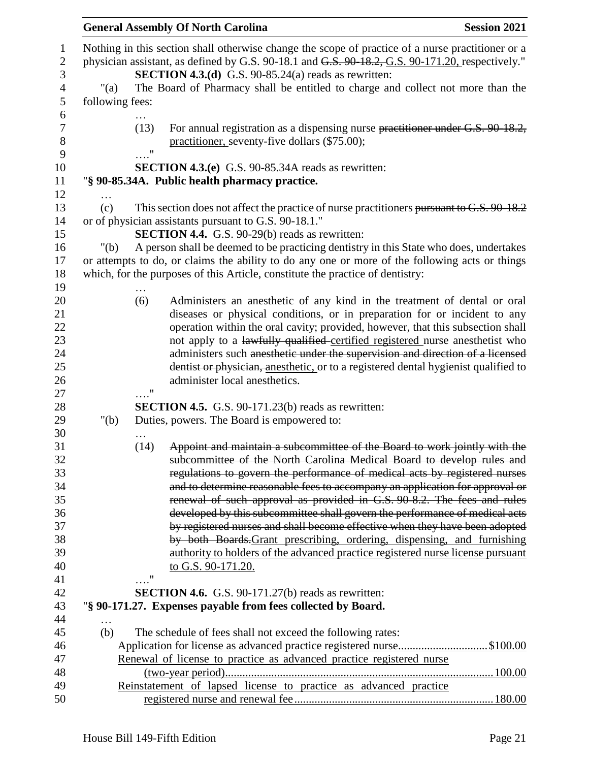|                                                 |                            | <b>General Assembly Of North Carolina</b>                                                                                                                                                                                                                                                                                                                                                                                                                                                      | <b>Session 2021</b> |
|-------------------------------------------------|----------------------------|------------------------------------------------------------------------------------------------------------------------------------------------------------------------------------------------------------------------------------------------------------------------------------------------------------------------------------------------------------------------------------------------------------------------------------------------------------------------------------------------|---------------------|
| $\boldsymbol{2}$<br>3<br>$\overline{4}$<br>"(a) |                            | Nothing in this section shall otherwise change the scope of practice of a nurse practitioner or a<br>physician assistant, as defined by G.S. 90-18.1 and G.S. 90-18.2, G.S. 90-171.20, respectively."<br><b>SECTION 4.3.(d)</b> G.S. 90-85.24(a) reads as rewritten:<br>The Board of Pharmacy shall be entitled to charge and collect not more than the                                                                                                                                        |                     |
| 5<br>following fees:                            |                            |                                                                                                                                                                                                                                                                                                                                                                                                                                                                                                |                     |
| 6<br>$\boldsymbol{7}$<br>8<br>9                 | (13)<br>$\pmb{\mathsf{H}}$ | For annual registration as a dispensing nurse practitioner under G.S. 90-18.2,<br>practitioner, seventy-five dollars (\$75.00);                                                                                                                                                                                                                                                                                                                                                                |                     |
| 10                                              |                            | <b>SECTION 4.3.(e)</b> G.S. 90-85.34A reads as rewritten:                                                                                                                                                                                                                                                                                                                                                                                                                                      |                     |
|                                                 |                            | "§ 90-85.34A. Public health pharmacy practice.                                                                                                                                                                                                                                                                                                                                                                                                                                                 |                     |
| 12                                              |                            |                                                                                                                                                                                                                                                                                                                                                                                                                                                                                                |                     |
| $\cdots$<br>13<br>(c)<br>14                     |                            | This section does not affect the practice of nurse practitioners pursuant to G.S. 90-18.2<br>or of physician assistants pursuant to G.S. 90-18.1."                                                                                                                                                                                                                                                                                                                                             |                     |
| 15                                              |                            | <b>SECTION 4.4.</b> G.S. 90-29(b) reads as rewritten:                                                                                                                                                                                                                                                                                                                                                                                                                                          |                     |
| 16<br>" $(b)$                                   |                            | A person shall be deemed to be practicing dentistry in this State who does, undertakes                                                                                                                                                                                                                                                                                                                                                                                                         |                     |
| 17                                              |                            | or attempts to do, or claims the ability to do any one or more of the following acts or things                                                                                                                                                                                                                                                                                                                                                                                                 |                     |
| 18                                              |                            | which, for the purposes of this Article, constitute the practice of dentistry:                                                                                                                                                                                                                                                                                                                                                                                                                 |                     |
| 19                                              |                            |                                                                                                                                                                                                                                                                                                                                                                                                                                                                                                |                     |
| 20<br>22<br>23<br>24<br>25<br>26                | (6)                        | Administers an anesthetic of any kind in the treatment of dental or oral<br>diseases or physical conditions, or in preparation for or incident to any<br>operation within the oral cavity; provided, however, that this subsection shall<br>not apply to a lawfully qualified certified registered nurse anesthetist who<br>administers such anesthetic under the supervision and direction of a licensed<br>dentist or physician, and antion or to a registered dental hygienist qualified to |                     |
|                                                 |                            | administer local anesthetics.                                                                                                                                                                                                                                                                                                                                                                                                                                                                  |                     |
|                                                 | $\ldots$ "                 |                                                                                                                                                                                                                                                                                                                                                                                                                                                                                                |                     |
|                                                 |                            | <b>SECTION 4.5.</b> G.S. 90-171.23(b) reads as rewritten:                                                                                                                                                                                                                                                                                                                                                                                                                                      |                     |
| " $(b)$                                         |                            | Duties, powers. The Board is empowered to:                                                                                                                                                                                                                                                                                                                                                                                                                                                     |                     |
|                                                 | (14)                       | Appoint and maintain a subcommittee of the Board to work jointly with the<br>subcommittee of the North Carolina Medical Board to develop rules and                                                                                                                                                                                                                                                                                                                                             |                     |
| 33<br>34                                        |                            | regulations to govern the performance of medical acts by registered nurses<br>and to determine reasonable fees to accompany an application for approval or                                                                                                                                                                                                                                                                                                                                     |                     |
|                                                 |                            | renewal of such approval as provided in G.S. 90-8.2. The fees and rules                                                                                                                                                                                                                                                                                                                                                                                                                        |                     |
|                                                 |                            | developed by this subcommittee shall govern the performance of medical acts                                                                                                                                                                                                                                                                                                                                                                                                                    |                     |
|                                                 |                            | by registered nurses and shall become effective when they have been adopted                                                                                                                                                                                                                                                                                                                                                                                                                    |                     |
|                                                 |                            | by both Boards-Grant prescribing, ordering, dispensing, and furnishing                                                                                                                                                                                                                                                                                                                                                                                                                         |                     |
|                                                 |                            | authority to holders of the advanced practice registered nurse license pursuant                                                                                                                                                                                                                                                                                                                                                                                                                |                     |
|                                                 |                            | to G.S. 90-171.20.                                                                                                                                                                                                                                                                                                                                                                                                                                                                             |                     |
|                                                 | $^{\prime\prime}$          |                                                                                                                                                                                                                                                                                                                                                                                                                                                                                                |                     |
|                                                 |                            | SECTION 4.6. G.S. 90-171.27(b) reads as rewritten:                                                                                                                                                                                                                                                                                                                                                                                                                                             |                     |
|                                                 |                            | "§ 90-171.27. Expenses payable from fees collected by Board.                                                                                                                                                                                                                                                                                                                                                                                                                                   |                     |
| .                                               |                            |                                                                                                                                                                                                                                                                                                                                                                                                                                                                                                |                     |
| (b)                                             |                            | The schedule of fees shall not exceed the following rates:                                                                                                                                                                                                                                                                                                                                                                                                                                     |                     |
|                                                 |                            | Application for license as advanced practice registered nurse\$100.00                                                                                                                                                                                                                                                                                                                                                                                                                          |                     |
|                                                 |                            | Renewal of license to practice as advanced practice registered nurse                                                                                                                                                                                                                                                                                                                                                                                                                           |                     |
|                                                 |                            |                                                                                                                                                                                                                                                                                                                                                                                                                                                                                                |                     |
|                                                 |                            | Reinstatement of lapsed license to practice as advanced practice                                                                                                                                                                                                                                                                                                                                                                                                                               |                     |
| 50                                              |                            |                                                                                                                                                                                                                                                                                                                                                                                                                                                                                                |                     |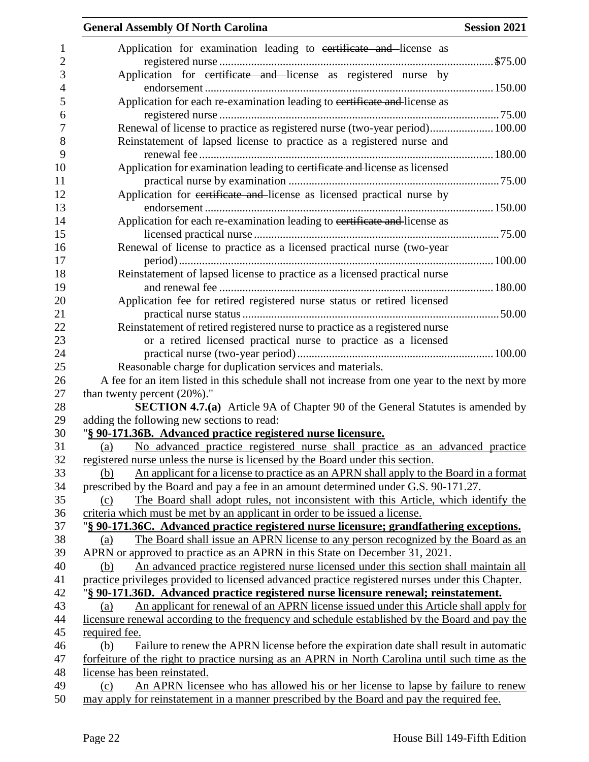| <b>General Assembly Of North Carolina</b>                                                        | <b>Session 2021</b> |
|--------------------------------------------------------------------------------------------------|---------------------|
| Application for examination leading to certificate and license as                                |                     |
|                                                                                                  |                     |
| Application for certificate and license as registered nurse by                                   |                     |
|                                                                                                  |                     |
| Application for each re-examination leading to certificate and license as                        |                     |
|                                                                                                  |                     |
| Renewal of license to practice as registered nurse (two-year period) 100.00                      |                     |
| Reinstatement of lapsed license to practice as a registered nurse and                            |                     |
|                                                                                                  |                     |
| Application for examination leading to certificate and license as licensed                       |                     |
|                                                                                                  |                     |
| Application for certificate and license as licensed practical nurse by                           |                     |
|                                                                                                  |                     |
| Application for each re-examination leading to certificate and license as                        |                     |
|                                                                                                  |                     |
| Renewal of license to practice as a licensed practical nurse (two-year                           |                     |
|                                                                                                  |                     |
| Reinstatement of lapsed license to practice as a licensed practical nurse                        |                     |
|                                                                                                  |                     |
| Application fee for retired registered nurse status or retired licensed                          |                     |
|                                                                                                  |                     |
| Reinstatement of retired registered nurse to practice as a registered nurse                      |                     |
| or a retired licensed practical nurse to practice as a licensed                                  |                     |
|                                                                                                  |                     |
| Reasonable charge for duplication services and materials.                                        |                     |
| A fee for an item listed in this schedule shall not increase from one year to the next by more   |                     |
| than twenty percent $(20\%)$ ."                                                                  |                     |
| <b>SECTION 4.7.(a)</b> Article 9A of Chapter 90 of the General Statutes is amended by            |                     |
| adding the following new sections to read:                                                       |                     |
| "§ 90-171.36B. Advanced practice registered nurse licensure.                                     |                     |
| No advanced practice registered nurse shall practice as an advanced practice<br>(a)              |                     |
| registered nurse unless the nurse is licensed by the Board under this section.                   |                     |
| An applicant for a license to practice as an APRN shall apply to the Board in a format<br>(b)    |                     |
| prescribed by the Board and pay a fee in an amount determined under G.S. 90-171.27.              |                     |
| The Board shall adopt rules, not inconsistent with this Article, which identify the<br>(c)       |                     |
| criteria which must be met by an applicant in order to be issued a license.                      |                     |
| "§ 90-171.36C. Advanced practice registered nurse licensure; grandfathering exceptions.          |                     |
| The Board shall issue an APRN license to any person recognized by the Board as an<br>(a)         |                     |
| APRN or approved to practice as an APRN in this State on December 31, 2021.                      |                     |
| An advanced practice registered nurse licensed under this section shall maintain all<br>(b)      |                     |
| practice privileges provided to licensed advanced practice registered nurses under this Chapter. |                     |
| "§ 90-171.36D. Advanced practice registered nurse licensure renewal; reinstatement.              |                     |
| An applicant for renewal of an APRN license issued under this Article shall apply for<br>(a)     |                     |
| licensure renewal according to the frequency and schedule established by the Board and pay the   |                     |
| required fee.                                                                                    |                     |
| (b)<br>Failure to renew the APRN license before the expiration date shall result in automatic    |                     |
| forfeiture of the right to practice nursing as an APRN in North Carolina until such time as the  |                     |
| license has been reinstated.                                                                     |                     |
| An APRN licensee who has allowed his or her license to lapse by failure to renew<br>(c)          |                     |
| may apply for reinstatement in a manner prescribed by the Board and pay the required fee.        |                     |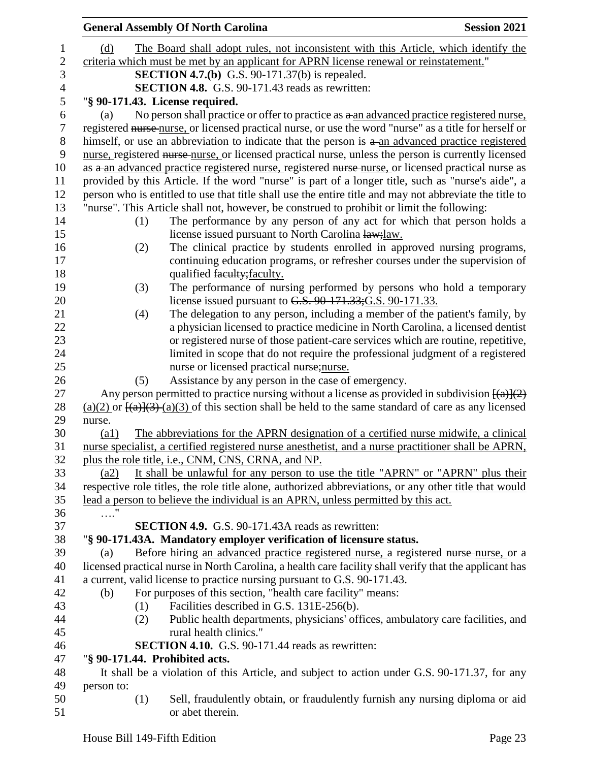|                  |                                                                                                                      |     | <b>General Assembly Of North Carolina</b>                                                                                                                                                 | <b>Session 2021</b> |  |  |
|------------------|----------------------------------------------------------------------------------------------------------------------|-----|-------------------------------------------------------------------------------------------------------------------------------------------------------------------------------------------|---------------------|--|--|
| 1                | (d)                                                                                                                  |     | The Board shall adopt rules, not inconsistent with this Article, which identify the                                                                                                       |                     |  |  |
| $\boldsymbol{2}$ | criteria which must be met by an applicant for APRN license renewal or reinstatement."                               |     |                                                                                                                                                                                           |                     |  |  |
| 3                |                                                                                                                      |     | <b>SECTION 4.7.(b)</b> G.S. 90-171.37(b) is repealed.                                                                                                                                     |                     |  |  |
| $\overline{4}$   |                                                                                                                      |     | SECTION 4.8. G.S. 90-171.43 reads as rewritten:                                                                                                                                           |                     |  |  |
| 5                |                                                                                                                      |     | "§ 90-171.43. License required.                                                                                                                                                           |                     |  |  |
| 6                | (a)                                                                                                                  |     | No person shall practice or offer to practice as a an advanced practice registered nurse,                                                                                                 |                     |  |  |
| $\tau$           |                                                                                                                      |     | registered nurse nurse, or licensed practical nurse, or use the word "nurse" as a title for herself or                                                                                    |                     |  |  |
| $8\,$            |                                                                                                                      |     | himself, or use an abbreviation to indicate that the person is a an advanced practice registered                                                                                          |                     |  |  |
| $\mathbf{9}$     |                                                                                                                      |     | nurse, registered nurse-nurse, or licensed practical nurse, unless the person is currently licensed                                                                                       |                     |  |  |
| 10               |                                                                                                                      |     | as a an advanced practice registered nurse, registered nurse nurse, or licensed practical nurse as                                                                                        |                     |  |  |
| 11               |                                                                                                                      |     | provided by this Article. If the word "nurse" is part of a longer title, such as "nurse's aide", a                                                                                        |                     |  |  |
| 12               |                                                                                                                      |     | person who is entitled to use that title shall use the entire title and may not abbreviate the title to                                                                                   |                     |  |  |
| 13               |                                                                                                                      |     | "nurse". This Article shall not, however, be construed to prohibit or limit the following:                                                                                                |                     |  |  |
| 14               |                                                                                                                      | (1) | The performance by any person of any act for which that person holds a                                                                                                                    |                     |  |  |
| 15               |                                                                                                                      |     | license issued pursuant to North Carolina law; law.                                                                                                                                       |                     |  |  |
| 16               |                                                                                                                      | (2) | The clinical practice by students enrolled in approved nursing programs,                                                                                                                  |                     |  |  |
| 17               |                                                                                                                      |     | continuing education programs, or refresher courses under the supervision of                                                                                                              |                     |  |  |
| 18               |                                                                                                                      |     | qualified faculty; faculty.                                                                                                                                                               |                     |  |  |
| 19               |                                                                                                                      | (3) | The performance of nursing performed by persons who hold a temporary                                                                                                                      |                     |  |  |
| 20               |                                                                                                                      |     | license issued pursuant to G.S. 90-171.33; G.S. 90-171.33.                                                                                                                                |                     |  |  |
| 21               |                                                                                                                      | (4) | The delegation to any person, including a member of the patient's family, by                                                                                                              |                     |  |  |
| 22               |                                                                                                                      |     | a physician licensed to practice medicine in North Carolina, a licensed dentist                                                                                                           |                     |  |  |
| 23               |                                                                                                                      |     | or registered nurse of those patient-care services which are routine, repetitive,                                                                                                         |                     |  |  |
| 24               |                                                                                                                      |     | limited in scope that do not require the professional judgment of a registered                                                                                                            |                     |  |  |
| 25               |                                                                                                                      |     | nurse or licensed practical nurse; nurse.                                                                                                                                                 |                     |  |  |
| 26               |                                                                                                                      | (5) | Assistance by any person in the case of emergency.                                                                                                                                        |                     |  |  |
| 27               | Any person permitted to practice nursing without a license as provided in subdivision $\frac{(\{a\})\{2\}}{(\{a\})}$ |     |                                                                                                                                                                                           |                     |  |  |
| 28               |                                                                                                                      |     | $(a)(2)$ or $\frac{[(a)](3)}{(a)(3)}$ of this section shall be held to the same standard of care as any licensed                                                                          |                     |  |  |
| 29               | nurse.                                                                                                               |     |                                                                                                                                                                                           |                     |  |  |
| 30               | $\left( a1\right)$                                                                                                   |     | The abbreviations for the APRN designation of a certified nurse midwife, a clinical                                                                                                       |                     |  |  |
| 31               |                                                                                                                      |     | nurse specialist, a certified registered nurse anesthetist, and a nurse practitioner shall be APRN,                                                                                       |                     |  |  |
| 32<br>33         |                                                                                                                      |     | plus the role title, i.e., CNM, CNS, CRNA, and NP.                                                                                                                                        |                     |  |  |
| 34               | (a2)                                                                                                                 |     | It shall be unlawful for any person to use the title "APRN" or "APRN" plus their<br>respective role titles, the role title alone, authorized abbreviations, or any other title that would |                     |  |  |
| 35               |                                                                                                                      |     | lead a person to believe the individual is an APRN, unless permitted by this act.                                                                                                         |                     |  |  |
| 36               | $\ldots$ "                                                                                                           |     |                                                                                                                                                                                           |                     |  |  |
| 37               |                                                                                                                      |     | <b>SECTION 4.9.</b> G.S. 90-171.43A reads as rewritten:                                                                                                                                   |                     |  |  |
| 38               |                                                                                                                      |     | "§ 90-171.43A. Mandatory employer verification of licensure status.                                                                                                                       |                     |  |  |
| 39               | (a)                                                                                                                  |     | Before hiring an advanced practice registered nurse, a registered nurse-nurse, or a                                                                                                       |                     |  |  |
| 40               |                                                                                                                      |     | licensed practical nurse in North Carolina, a health care facility shall verify that the applicant has                                                                                    |                     |  |  |
| 41               |                                                                                                                      |     | a current, valid license to practice nursing pursuant to G.S. 90-171.43.                                                                                                                  |                     |  |  |
| 42               | (b)                                                                                                                  |     | For purposes of this section, "health care facility" means:                                                                                                                               |                     |  |  |
| 43               |                                                                                                                      | (1) | Facilities described in G.S. 131E-256(b).                                                                                                                                                 |                     |  |  |
| 44               |                                                                                                                      | (2) | Public health departments, physicians' offices, ambulatory care facilities, and                                                                                                           |                     |  |  |
| 45               |                                                                                                                      |     | rural health clinics."                                                                                                                                                                    |                     |  |  |
| 46               |                                                                                                                      |     | <b>SECTION 4.10.</b> G.S. 90-171.44 reads as rewritten:                                                                                                                                   |                     |  |  |
| 47               |                                                                                                                      |     | "§ 90-171.44. Prohibited acts.                                                                                                                                                            |                     |  |  |
| 48               |                                                                                                                      |     | It shall be a violation of this Article, and subject to action under G.S. 90-171.37, for any                                                                                              |                     |  |  |
| 49               | person to:                                                                                                           |     |                                                                                                                                                                                           |                     |  |  |
| 50               |                                                                                                                      | (1) | Sell, fraudulently obtain, or fraudulently furnish any nursing diploma or aid                                                                                                             |                     |  |  |
| 51               |                                                                                                                      |     | or abet therein.                                                                                                                                                                          |                     |  |  |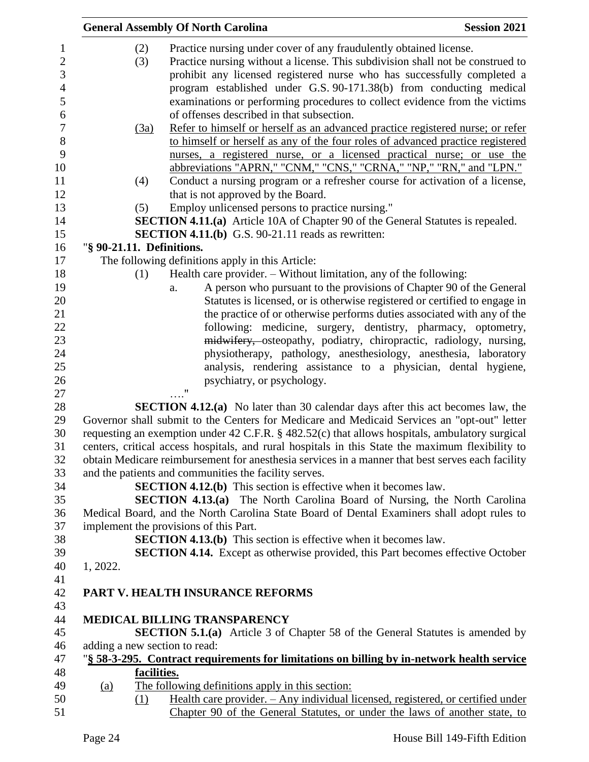|                               | <b>General Assembly Of North Carolina</b>                                                        | <b>Session 2021</b> |
|-------------------------------|--------------------------------------------------------------------------------------------------|---------------------|
| (2)                           | Practice nursing under cover of any fraudulently obtained license.                               |                     |
| (3)                           | Practice nursing without a license. This subdivision shall not be construed to                   |                     |
|                               | prohibit any licensed registered nurse who has successfully completed a                          |                     |
|                               | program established under G.S. 90-171.38(b) from conducting medical                              |                     |
|                               | examinations or performing procedures to collect evidence from the victims                       |                     |
|                               | of offenses described in that subsection.                                                        |                     |
| (3a)                          | Refer to himself or herself as an advanced practice registered nurse; or refer                   |                     |
|                               | to himself or herself as any of the four roles of advanced practice registered                   |                     |
|                               | nurses, a registered nurse, or a licensed practical nurse; or use the                            |                     |
|                               | abbreviations "APRN," "CNM," "CNS," "CRNA," "NP," "RN," and "LPN."                               |                     |
| (4)                           | Conduct a nursing program or a refresher course for activation of a license,                     |                     |
|                               | that is not approved by the Board.                                                               |                     |
| (5)                           | Employ unlicensed persons to practice nursing."                                                  |                     |
|                               | <b>SECTION 4.11.(a)</b> Article 10A of Chapter 90 of the General Statutes is repealed.           |                     |
|                               | <b>SECTION 4.11.(b)</b> G.S. 90-21.11 reads as rewritten:                                        |                     |
| "§ 90-21.11. Definitions.     |                                                                                                  |                     |
|                               | The following definitions apply in this Article:                                                 |                     |
| (1)                           | Health care provider. – Without limitation, any of the following:                                |                     |
|                               | A person who pursuant to the provisions of Chapter 90 of the General<br>a.                       |                     |
|                               | Statutes is licensed, or is otherwise registered or certified to engage in                       |                     |
|                               | the practice of or otherwise performs duties associated with any of the                          |                     |
|                               | following: medicine, surgery, dentistry, pharmacy, optometry,                                    |                     |
|                               | midwifery, osteopathy, podiatry, chiropractic, radiology, nursing,                               |                     |
|                               | physiotherapy, pathology, anesthesiology, anesthesia, laboratory                                 |                     |
|                               | analysis, rendering assistance to a physician, dental hygiene,                                   |                     |
|                               | psychiatry, or psychology.                                                                       |                     |
|                               | "                                                                                                |                     |
|                               | <b>SECTION 4.12.(a)</b> No later than 30 calendar days after this act becomes law, the           |                     |
|                               | Governor shall submit to the Centers for Medicare and Medicaid Services an "opt-out" letter      |                     |
|                               | requesting an exemption under 42 C.F.R. § 482.52(c) that allows hospitals, ambulatory surgical   |                     |
|                               | centers, critical access hospitals, and rural hospitals in this State the maximum flexibility to |                     |
|                               | obtain Medicare reimbursement for anesthesia services in a manner that best serves each facility |                     |
|                               | and the patients and communities the facility serves.                                            |                     |
|                               | <b>SECTION 4.12.(b)</b> This section is effective when it becomes law.                           |                     |
|                               | <b>SECTION 4.13.(a)</b> The North Carolina Board of Nursing, the North Carolina                  |                     |
|                               | Medical Board, and the North Carolina State Board of Dental Examiners shall adopt rules to       |                     |
|                               | implement the provisions of this Part.                                                           |                     |
|                               | <b>SECTION 4.13.(b)</b> This section is effective when it becomes law.                           |                     |
|                               | <b>SECTION 4.14.</b> Except as otherwise provided, this Part becomes effective October           |                     |
| 1, 2022.                      |                                                                                                  |                     |
|                               |                                                                                                  |                     |
|                               | PART V. HEALTH INSURANCE REFORMS                                                                 |                     |
|                               | MEDICAL BILLING TRANSPARENCY                                                                     |                     |
|                               | <b>SECTION 5.1.(a)</b> Article 3 of Chapter 58 of the General Statutes is amended by             |                     |
| adding a new section to read: |                                                                                                  |                     |
|                               | "§ 58-3-295. Contract requirements for limitations on billing by in-network health service       |                     |
|                               | facilities.                                                                                      |                     |
| <u>(a)</u>                    | The following definitions apply in this section:                                                 |                     |
| (1)                           | <u> Health care provider. – Any individual licensed, registered, or certified under</u>          |                     |
|                               | Chapter 90 of the General Statutes, or under the laws of another state, to                       |                     |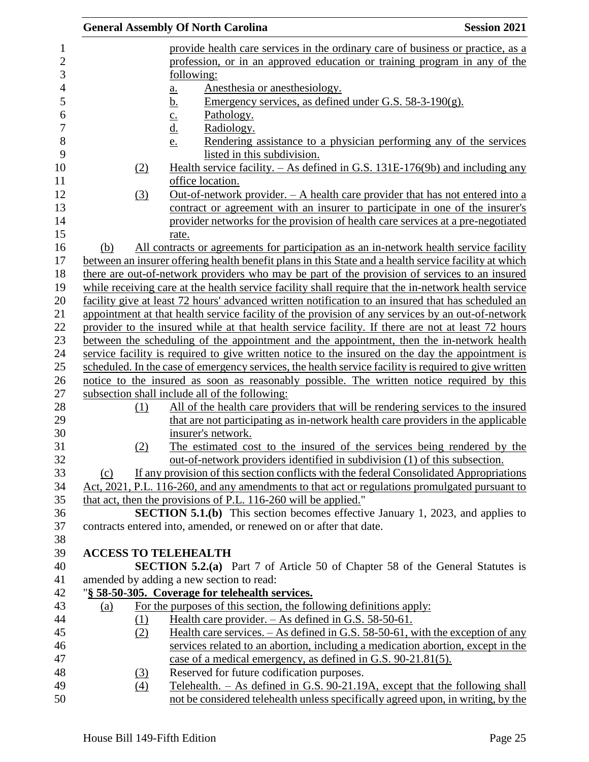|     | <b>General Assembly Of North Carolina</b>                                                                                                                   | <b>Session 2021</b> |
|-----|-------------------------------------------------------------------------------------------------------------------------------------------------------------|---------------------|
|     | provide health care services in the ordinary care of business or practice, as a                                                                             |                     |
|     | profession, or in an approved education or training program in any of the                                                                                   |                     |
|     | following:                                                                                                                                                  |                     |
|     | Anesthesia or anesthesiology.<br>a.                                                                                                                         |                     |
|     | Emergency services, as defined under G.S. $58-3-190(g)$ .<br><u>b.</u>                                                                                      |                     |
|     | Pathology.<br>$\underline{\mathbf{c}}$ .                                                                                                                    |                     |
|     | <u>d.</u><br>Radiology.                                                                                                                                     |                     |
|     | Rendering assistance to a physician performing any of the services<br>e.                                                                                    |                     |
|     | listed in this subdivision.                                                                                                                                 |                     |
|     | Health service facility. $-$ As defined in G.S. 131E-176(9b) and including any<br>(2)                                                                       |                     |
|     | office location.                                                                                                                                            |                     |
|     | <u>Out-of-network provider. - A health care provider that has not entered into a</u><br>(3)                                                                 |                     |
|     | contract or agreement with an insurer to participate in one of the insurer's                                                                                |                     |
|     | provider networks for the provision of health care services at a pre-negotiated                                                                             |                     |
|     | rate.                                                                                                                                                       |                     |
| (b) | All contracts or agreements for participation as an in-network health service facility                                                                      |                     |
|     | between an insurer offering health benefit plans in this State and a health service facility at which                                                       |                     |
|     | there are out-of-network providers who may be part of the provision of services to an insured                                                               |                     |
|     | while receiving care at the health service facility shall require that the in-network health service                                                        |                     |
|     | facility give at least 72 hours' advanced written notification to an insured that has scheduled an                                                          |                     |
|     | appointment at that health service facility of the provision of any services by an out-of-network                                                           |                     |
|     | provider to the insured while at that health service facility. If there are not at least 72 hours                                                           |                     |
|     | between the scheduling of the appointment and the appointment, then the in-network health                                                                   |                     |
|     | service facility is required to give written notice to the insured on the day the appointment is                                                            |                     |
|     | scheduled. In the case of emergency services, the health service facility is required to give written                                                       |                     |
|     | notice to the insured as soon as reasonably possible. The written notice required by this                                                                   |                     |
|     | subsection shall include all of the following:                                                                                                              |                     |
|     | All of the health care providers that will be rendering services to the insured<br>(1)                                                                      |                     |
|     | that are not participating as in-network health care providers in the applicable                                                                            |                     |
|     | insurer's network.                                                                                                                                          |                     |
|     | The estimated cost to the insured of the services being rendered by the<br>(2)                                                                              |                     |
|     | out-of-network providers identified in subdivision (1) of this subsection.                                                                                  |                     |
| (c) | If any provision of this section conflicts with the federal Consolidated Appropriations                                                                     |                     |
|     | Act, 2021, P.L. 116-260, and any amendments to that act or regulations promulgated pursuant to                                                              |                     |
|     | that act, then the provisions of P.L. 116-260 will be applied."                                                                                             |                     |
|     | <b>SECTION 5.1.(b)</b> This section becomes effective January 1, 2023, and applies to<br>contracts entered into, amended, or renewed on or after that date. |                     |
|     |                                                                                                                                                             |                     |
|     | <b>ACCESS TO TELEHEALTH</b>                                                                                                                                 |                     |
|     | <b>SECTION 5.2.(a)</b> Part 7 of Article 50 of Chapter 58 of the General Statutes is                                                                        |                     |
|     | amended by adding a new section to read:                                                                                                                    |                     |
|     | "§ 58-50-305. Coverage for telehealth services.                                                                                                             |                     |
| (a) | For the purposes of this section, the following definitions apply:                                                                                          |                     |
|     | <u>Health care provider. – As defined in G.S. 58-50-61.</u><br>(1)                                                                                          |                     |
|     | <u>Health care services. <math>-</math> As defined in G.S. 58-50-61, with the exception of any</u><br>(2)                                                   |                     |
|     | services related to an abortion, including a medication abortion, except in the                                                                             |                     |
|     | case of a medical emergency, as defined in G.S. 90-21.81(5).                                                                                                |                     |
|     | Reserved for future codification purposes.<br>(3)                                                                                                           |                     |
|     | <u>Telehealth. – As defined in G.S. 90-21.19A, except that the following shall</u><br>$\left(4\right)$                                                      |                     |
|     | not be considered telehealth unless specifically agreed upon, in writing, by the                                                                            |                     |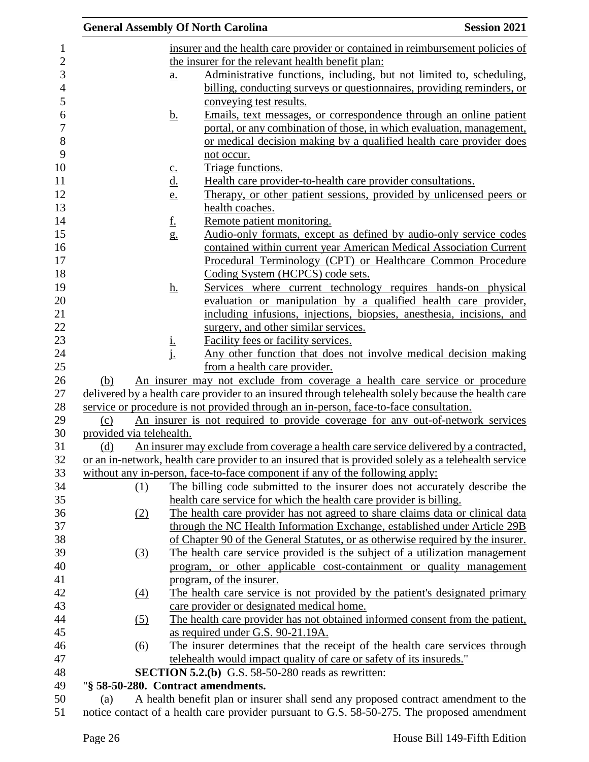|                                                                                            |                          |                                 | <b>General Assembly Of North Carolina</b>                                                                                                                                            | <b>Session 2021</b> |
|--------------------------------------------------------------------------------------------|--------------------------|---------------------------------|--------------------------------------------------------------------------------------------------------------------------------------------------------------------------------------|---------------------|
|                                                                                            |                          |                                 | insurer and the health care provider or contained in reimbursement policies of                                                                                                       |                     |
|                                                                                            |                          |                                 | the insurer for the relevant health benefit plan:                                                                                                                                    |                     |
|                                                                                            |                          | $\underline{a}$ .               | Administrative functions, including, but not limited to, scheduling,                                                                                                                 |                     |
|                                                                                            |                          |                                 | billing, conducting surveys or questionnaires, providing reminders, or                                                                                                               |                     |
|                                                                                            |                          |                                 | conveying test results.                                                                                                                                                              |                     |
|                                                                                            |                          | <u>b.</u>                       | Emails, text messages, or correspondence through an online patient                                                                                                                   |                     |
|                                                                                            |                          |                                 | portal, or any combination of those, in which evaluation, management,                                                                                                                |                     |
|                                                                                            |                          |                                 | or medical decision making by a qualified health care provider does                                                                                                                  |                     |
|                                                                                            |                          |                                 | not occur.                                                                                                                                                                           |                     |
|                                                                                            |                          | $c_{\cdot}$                     | Triage functions.                                                                                                                                                                    |                     |
|                                                                                            |                          | $\underline{\mathbf{d}}$ .      | Health care provider-to-health care provider consultations.                                                                                                                          |                     |
|                                                                                            |                          | e.                              | Therapy, or other patient sessions, provided by unlicensed peers or                                                                                                                  |                     |
|                                                                                            |                          |                                 | health coaches.                                                                                                                                                                      |                     |
|                                                                                            |                          | <u>f.</u>                       | Remote patient monitoring.                                                                                                                                                           |                     |
|                                                                                            |                          | g.                              | Audio-only formats, except as defined by audio-only service codes                                                                                                                    |                     |
|                                                                                            |                          |                                 | contained within current year American Medical Association Current                                                                                                                   |                     |
|                                                                                            |                          |                                 | Procedural Terminology (CPT) or Healthcare Common Procedure                                                                                                                          |                     |
|                                                                                            |                          |                                 | Coding System (HCPCS) code sets.                                                                                                                                                     |                     |
|                                                                                            |                          | <u>h.</u>                       | Services where current technology requires hands-on physical                                                                                                                         |                     |
|                                                                                            |                          |                                 | evaluation or manipulation by a qualified health care provider,                                                                                                                      |                     |
|                                                                                            |                          |                                 | including infusions, injections, biopsies, anesthesia, incisions, and                                                                                                                |                     |
|                                                                                            |                          |                                 | surgery, and other similar services.                                                                                                                                                 |                     |
|                                                                                            |                          | $\frac{\mathrm{i}}{\mathrm{i}}$ | Facility fees or facility services.                                                                                                                                                  |                     |
|                                                                                            |                          |                                 | Any other function that does not involve medical decision making                                                                                                                     |                     |
|                                                                                            |                          |                                 | from a health care provider.                                                                                                                                                         |                     |
| (b)                                                                                        |                          |                                 | An insurer may not exclude from coverage a health care service or procedure                                                                                                          |                     |
|                                                                                            |                          |                                 | delivered by a health care provider to an insured through telehealth solely because the health care                                                                                  |                     |
|                                                                                            |                          |                                 | service or procedure is not provided through an in-person, face-to-face consultation.                                                                                                |                     |
| (c)                                                                                        |                          |                                 | An insurer is not required to provide coverage for any out-of-network services                                                                                                       |                     |
|                                                                                            | provided via telehealth. |                                 |                                                                                                                                                                                      |                     |
| (d)                                                                                        |                          |                                 | An insurer may exclude from coverage a health care service delivered by a contracted,                                                                                                |                     |
|                                                                                            |                          |                                 | or an in-network, health care provider to an insured that is provided solely as a telehealth service<br>without any in-person, face-to-face component if any of the following apply: |                     |
|                                                                                            |                          |                                 | The billing code submitted to the insurer does not accurately describe the                                                                                                           |                     |
|                                                                                            | (1)                      |                                 | health care service for which the health care provider is billing.                                                                                                                   |                     |
|                                                                                            | (2)                      |                                 | The health care provider has not agreed to share claims data or clinical data                                                                                                        |                     |
|                                                                                            |                          |                                 | through the NC Health Information Exchange, established under Article 29B                                                                                                            |                     |
|                                                                                            |                          |                                 | of Chapter 90 of the General Statutes, or as otherwise required by the insurer.                                                                                                      |                     |
|                                                                                            | $\left(3\right)$         |                                 | The health care service provided is the subject of a utilization management                                                                                                          |                     |
|                                                                                            |                          |                                 | program, or other applicable cost-containment or quality management                                                                                                                  |                     |
|                                                                                            |                          |                                 | program, of the insurer.                                                                                                                                                             |                     |
|                                                                                            | (4)                      |                                 | The health care service is not provided by the patient's designated primary                                                                                                          |                     |
|                                                                                            |                          |                                 | care provider or designated medical home.                                                                                                                                            |                     |
| The health care provider has not obtained informed consent from the patient,<br><u>(5)</u> |                          |                                 |                                                                                                                                                                                      |                     |
|                                                                                            |                          |                                 | as required under G.S. 90-21.19A.                                                                                                                                                    |                     |
|                                                                                            | (6)                      |                                 | The insurer determines that the receipt of the health care services through                                                                                                          |                     |
|                                                                                            |                          |                                 | telehealth would impact quality of care or safety of its insureds."                                                                                                                  |                     |
|                                                                                            |                          |                                 | <b>SECTION 5.2.(b)</b> G.S. 58-50-280 reads as rewritten:                                                                                                                            |                     |
|                                                                                            |                          |                                 | "§ 58-50-280. Contract amendments.                                                                                                                                                   |                     |
| (a)                                                                                        |                          |                                 | A health benefit plan or insurer shall send any proposed contract amendment to the                                                                                                   |                     |
|                                                                                            |                          |                                 |                                                                                                                                                                                      |                     |

notice contact of a health care provider pursuant to G.S. 58-50-275. The proposed amendment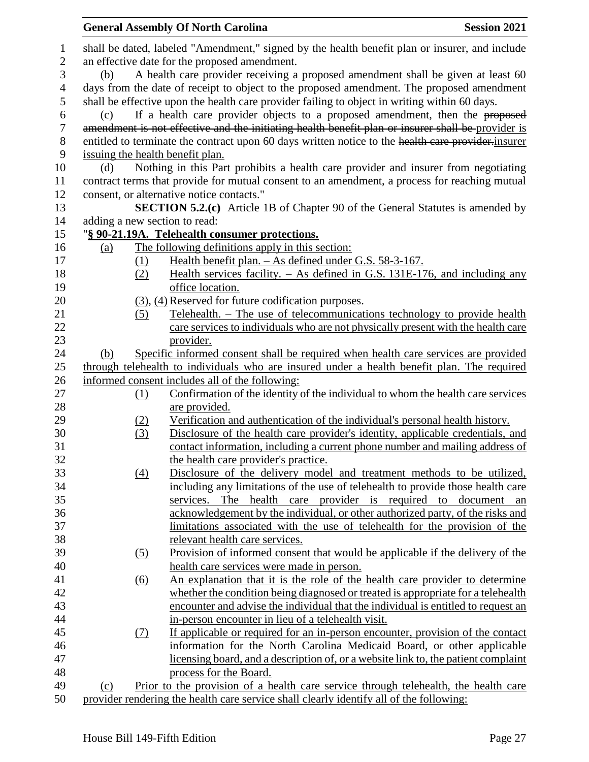|                |                                                                                                |                                               | <b>General Assembly Of North Carolina</b>                                                                                              | <b>Session 2021</b> |  |  |  |
|----------------|------------------------------------------------------------------------------------------------|-----------------------------------------------|----------------------------------------------------------------------------------------------------------------------------------------|---------------------|--|--|--|
| $\mathbf{1}$   | shall be dated, labeled "Amendment," signed by the health benefit plan or insurer, and include |                                               |                                                                                                                                        |                     |  |  |  |
| $\overline{2}$ |                                                                                                | an effective date for the proposed amendment. |                                                                                                                                        |                     |  |  |  |
| 3              | (b)                                                                                            |                                               | A health care provider receiving a proposed amendment shall be given at least 60                                                       |                     |  |  |  |
| 4              |                                                                                                |                                               | days from the date of receipt to object to the proposed amendment. The proposed amendment                                              |                     |  |  |  |
| 5              |                                                                                                |                                               | shall be effective upon the health care provider failing to object in writing within 60 days.                                          |                     |  |  |  |
| 6              | (c)                                                                                            |                                               | If a health care provider objects to a proposed amendment, then the proposed                                                           |                     |  |  |  |
| $\overline{7}$ |                                                                                                |                                               | amendment is not effective and the initiating health benefit plan or insurer shall be provider is                                      |                     |  |  |  |
| $8\,$<br>9     |                                                                                                |                                               | entitled to terminate the contract upon 60 days written notice to the health care provider insurer<br>issuing the health benefit plan. |                     |  |  |  |
| 10             | (d)                                                                                            |                                               | Nothing in this Part prohibits a health care provider and insurer from negotiating                                                     |                     |  |  |  |
| 11             |                                                                                                |                                               | contract terms that provide for mutual consent to an amendment, a process for reaching mutual                                          |                     |  |  |  |
| 12             |                                                                                                |                                               | consent, or alternative notice contacts."                                                                                              |                     |  |  |  |
| 13             |                                                                                                |                                               | <b>SECTION 5.2.(c)</b> Article 1B of Chapter 90 of the General Statutes is amended by                                                  |                     |  |  |  |
| 14             |                                                                                                |                                               | adding a new section to read:                                                                                                          |                     |  |  |  |
| 15             |                                                                                                |                                               | "§ 90-21.19A. Telehealth consumer protections.                                                                                         |                     |  |  |  |
| 16             | (a)                                                                                            |                                               | The following definitions apply in this section:                                                                                       |                     |  |  |  |
| 17             |                                                                                                | (1)                                           | Health benefit plan. - As defined under G.S. 58-3-167.                                                                                 |                     |  |  |  |
| 18             |                                                                                                | (2)                                           | Health services facility. $-$ As defined in G.S. 131E-176, and including any                                                           |                     |  |  |  |
| 19             |                                                                                                |                                               | office location.                                                                                                                       |                     |  |  |  |
| 20             |                                                                                                |                                               | $(3)$ , $(4)$ Reserved for future codification purposes.                                                                               |                     |  |  |  |
| 21             |                                                                                                | (5)                                           | Telehealth. - The use of telecommunications technology to provide health                                                               |                     |  |  |  |
| 22             |                                                                                                |                                               | care services to individuals who are not physically present with the health care                                                       |                     |  |  |  |
| 23             |                                                                                                |                                               | provider.                                                                                                                              |                     |  |  |  |
| 24             | (b)                                                                                            |                                               | Specific informed consent shall be required when health care services are provided                                                     |                     |  |  |  |
| 25             |                                                                                                |                                               | through telehealth to individuals who are insured under a health benefit plan. The required                                            |                     |  |  |  |
| 26             |                                                                                                |                                               | informed consent includes all of the following:                                                                                        |                     |  |  |  |
| 27             |                                                                                                | (1)                                           | Confirmation of the identity of the individual to whom the health care services                                                        |                     |  |  |  |
| 28             |                                                                                                |                                               | are provided.                                                                                                                          |                     |  |  |  |
| 29             |                                                                                                | (2)                                           | Verification and authentication of the individual's personal health history.                                                           |                     |  |  |  |
| 30             |                                                                                                | (3)                                           | Disclosure of the health care provider's identity, applicable credentials, and                                                         |                     |  |  |  |
| 31             |                                                                                                |                                               | contact information, including a current phone number and mailing address of                                                           |                     |  |  |  |
| 32             |                                                                                                |                                               | the health care provider's practice.                                                                                                   |                     |  |  |  |
| 33             |                                                                                                | $\left(4\right)$                              | Disclosure of the delivery model and treatment methods to be utilized,                                                                 |                     |  |  |  |
| 34             |                                                                                                |                                               | including any limitations of the use of telehealth to provide those health care                                                        |                     |  |  |  |
| 35             |                                                                                                |                                               | services. The health care provider is required to document an                                                                          |                     |  |  |  |
| 36             |                                                                                                |                                               | acknowledgement by the individual, or other authorized party, of the risks and                                                         |                     |  |  |  |
| 37             |                                                                                                |                                               | limitations associated with the use of telehealth for the provision of the                                                             |                     |  |  |  |
| 38             |                                                                                                |                                               | relevant health care services.                                                                                                         |                     |  |  |  |
| 39             |                                                                                                | <u>(5)</u>                                    | <u>Provision of informed consent that would be applicable if the delivery of the</u>                                                   |                     |  |  |  |
| 40             |                                                                                                |                                               | health care services were made in person.                                                                                              |                     |  |  |  |
| 41             |                                                                                                | (6)                                           | An explanation that it is the role of the health care provider to determine                                                            |                     |  |  |  |
| 42             |                                                                                                |                                               | whether the condition being diagnosed or treated is appropriate for a telehealth                                                       |                     |  |  |  |
| 43             |                                                                                                |                                               | encounter and advise the individual that the individual is entitled to request an                                                      |                     |  |  |  |
| 44             |                                                                                                |                                               | in-person encounter in lieu of a telehealth visit.                                                                                     |                     |  |  |  |
| 45             |                                                                                                | (7)                                           | If applicable or required for an in-person encounter, provision of the contact                                                         |                     |  |  |  |
| 46             |                                                                                                |                                               | information for the North Carolina Medicaid Board, or other applicable                                                                 |                     |  |  |  |
| 47             |                                                                                                |                                               | licensing board, and a description of, or a website link to, the patient complaint                                                     |                     |  |  |  |
| 48             |                                                                                                |                                               | process for the Board.                                                                                                                 |                     |  |  |  |
| 49             | (c)                                                                                            |                                               | Prior to the provision of a health care service through telehealth, the health care                                                    |                     |  |  |  |
| 50             |                                                                                                |                                               | provider rendering the health care service shall clearly identify all of the following:                                                |                     |  |  |  |